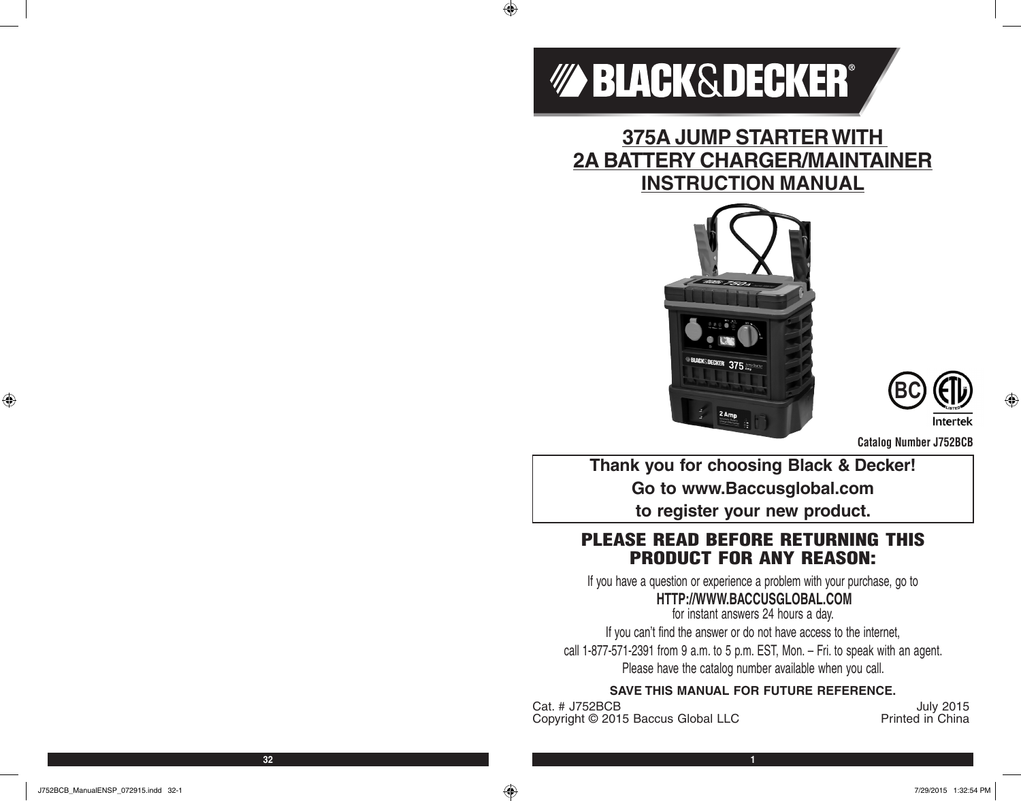

 $\bigoplus$ 

**375A JUMP STARTER WITH 2A BATTERY CHARGER/MAINTAINER INSTRUCTION MANUAL**





**Catalog Number J752BCB**

**Thank you for choosing Black & Decker! Go to www.Baccusglobal.com to register your new product.**

# PLEASE READ BEFORE RETURNING THIS PRODUCT FOR ANY REASON:

If you have a question or experience a problem with your purchase, go to

# **HTTP://WWW.BACCUSGLOBAL.COM**

for instant answers 24 hours a day. If you can't find the answer or do not have access to the internet, call 1-877-571-2391 from 9 a.m. to 5 p.m. EST, Mon. – Fri. to speak with an agent. Please have the catalog number available when you call.

### **SAVE THIS MANUAL FOR FUTURE REFERENCE.**

Cat. # J752BCB<br>Copyright © 2015 Baccus Global LLC **Contract Printed in China** Copyright © 2015 Baccus Global LLC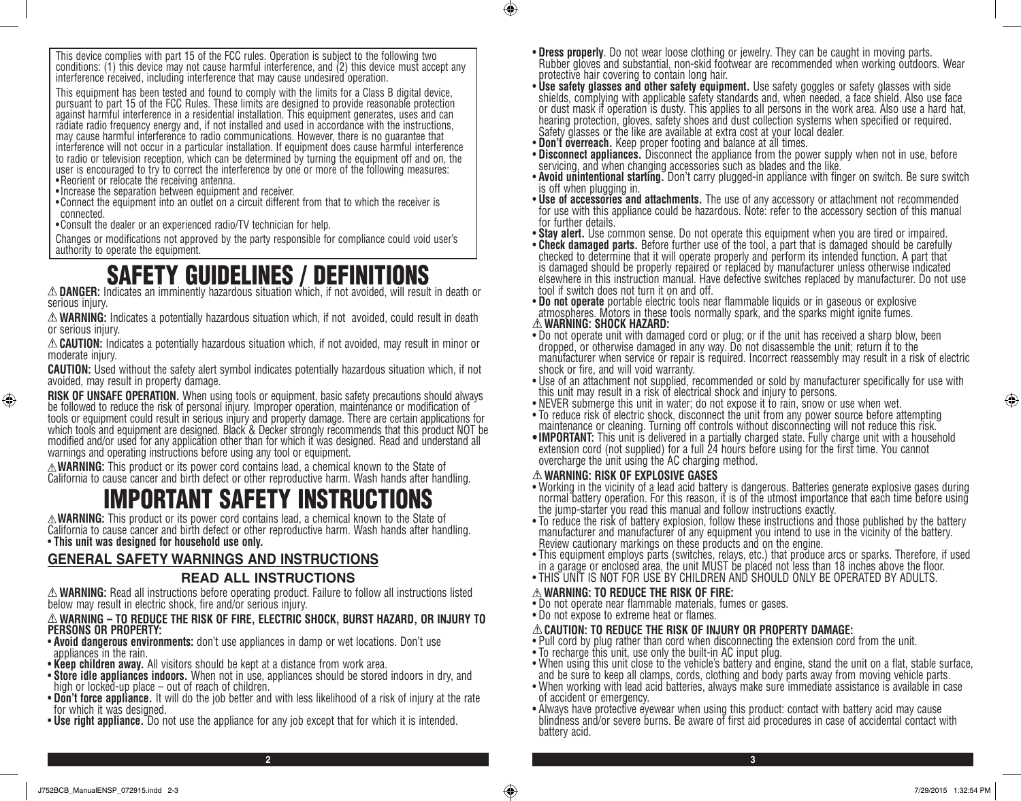This device complies with part 15 of the FCC rules. Operation is subject to the following two conditions: (1) this device may not cause harmful interference, and (2) this device must accept any interference received, including interference that may cause undesired operation.

This equipment has been tested and found to comply with the limits for a Class B digital device, pursuant to part 15 of the FCC Rules. These limits are designed to provide reasonable protection against harmful interference in a residential installation. This equipment generates, uses and can radiate radio frequency energy and, if not installed and used in accordance with the instructions, may cause harmful interference to radio communications. However, there is no guarantee that interference will not occur in a particular installation. If equipment does cause harmful interference to radio or television reception, which can be determined by turning the equipment off and on, the user is encouraged to try to correct the interference by one or more of the following measures: • Reorient or relocate the receiving antenna.

- •Increase the separation between equipment and receiver.
- •Connect the equipment into an outlet on a circuit different from that to which the receiver is connected.

•Consult the dealer or an experienced radio/TV technician for help.

Changes or modifications not approved by the party responsible for compliance could void user's authority to operate the equipment.

**SAFETY GUIDELINES / DEFINITIONS**<br>*DANGER:* **Indicates an imminently hazardous situation which, if not avoided, will result in death or serious injury.** 

**WARNING:** Indicates a potentially hazardous situation which, if not avoided, could result in death or serious injury.

**CAUTION:** Indicates a potentially hazardous situation which, if not avoided, may result in minor or moderate injury.

**CAUTION:** Used without the safety alert symbol indicates potentially hazardous situation which, if not avoided, may result in property damage.

**RISK OF UNSAFE OPERATION.** When using tools or equipment, basic safety precautions should always be followed to reduce the risk of personal injury. Improper operation, maintenance or modification of tools or equipment could result in serious injury and property damage. There are certain applications for which tools and equipment are designed. Black & Decker strongly recommends that this product NOT be modified and/or used for any application other than for which it was designed. Read and understand all warnings and operating instructions before using any tool or equipment.

**WARNING:** This product or its power cord contains lead, a chemical known to the State of California to cause cancer and birth defect or other reproductive harm. Wash hands after handling.

# IMPORTANT SAFETY INSTRUCTIONS

**WARNING:** This product or its power cord contains lead, a chemical known to the State of California to cause cancer and birth defect or other reproductive harm. Wash hands after handling. • **This unit was designed for household use only.**

### **GENERAL SAFETY WARNINGS AND INSTRUCTIONS**

### **READ ALL INSTRUCTIONS**

**WARNING:** Read all instructions before operating product. Failure to follow all instructions listed below may result in electric shock, fire and/or serious injury.

### **WARNING – TO REDUCE THE RISK OF FIRE, ELECTRIC SHOCK, BURST HAZARD, OR INJURY TO PERSONS OR PROPERTY:**

- **Avoid dangerous environments:** don't use appliances in damp or wet locations. Don't use appliances in the rain.
- **Keep children away.** All visitors should be kept at a distance from work area.
- **Store idle appliances indoors.** When not in use, appliances should be stored indoors in dry, and high or locked-up place out of reach of children.
- **Don't force appliance.** It will do the job better and with less likelihood of a risk of injury at the rate for which it was designed.
- **Use right appliance.** Do not use the appliance for any job except that for which it is intended.
- **Dress properly**. Do not wear loose clothing or jewelry. They can be caught in moving parts.<br>Rubber gloves and substantial, non-skid footwear are recommended when working outdoors. Wear protective hair covering to contain long hair.
- Use safety glasses and other safety equipment. Use safety goggles or safety glasses with side shields, complying with applicable safety standards and, when needed, a face shield. Also use face or dust mask if operation is dusty. This applies to all persons in the work area. Also use a hard hat, hearing protection, gloves, safety shoes and dust collection systems when specified or required. Safety glasses or the like are available at extra cost at your local dealer.
- **Don't overreach.** Keep proper footing and balance at all times.
- **Disconnect appliances.** Disconnect the appliance from the power supply when not in use, before<br>servicing, and when changing accessories such as blades and the like.
- **Avoid unintentional starting.** Don't carry plugged-in appliance with finger on switch. Be sure switch is off when plugging in.
- for use with this appliance could be hazardous. Note: refer to the accessory section of this manual for further details.
- 
- **Stay alert.** Use common sense. Do not operate this equipment when you are tired or impaired. checked to determine that it will operate properly and perform its intended function. A part that is damaged should be properly repaired or replaced by manufacturer unless otherwise indicated elsewhere in this instruction manual. Have defective switches replaced by manufacturer. Do not use
- tool if switch does not turn it on and off.<br>• Do not operate portable electric tools near flammable liquids or in gaseous or explosive atmospheres. Motors in these tools normally spark, and the sparks might ignite fumes. **WARNING: SHOCK HAZARD:**
- Do not operate unit with damaged cord or plug; or if the unit has received a sharp blow, been dropped, or otherwise damaged in any way. Do not disassemble the unit; return it to the manufacturer when service or repair is required. Incorrect reassembly may result in a risk of electric shock or fire, and will void warranty.
- Use of an attachment not supplied, recommended or sold by manufacturer specifically for use with this unit may result in a risk of electrical shock and injury to persons.
- NEVER submerge this unit in water; do not expose it to rain, snow or use when wet.
- To reduce risk of electric shock, disconnect the unit from any power source before attempting maintenance or cleaning. Turning off controls without disconnecting will not reduce this risk.
- •**IMPORTANT:** This unit is delivered in a partially charged state. Fully charge unit with a household extension cord (not supplied) for a full 24 hours before using for the first time. You cannot overcharge the unit using the AC charging method.

### **WARNING: RISK OF EXPLOSIVE GASES**

- Working in the vicinity of a lead acid battery is dangerous. Batteries generate explosive gases during normal battery operation. For this reason, it is of the utmost importance that each time before using the jump-starter you read this manual and follow instructions exactly.
- To reduce the risk of battery explosion, follow these instructions and those published by the battery manufacturer and manufacturer of any equipment you intend to use in the vicinity of the battery. Review cautionary markings on these products and on the engine.
- This equipment employs parts (switches, relays, etc.) that produce arcs or sparks. Therefore, if used in a garage or enclosed area, the unit MUST be placed not less than 18 inches above the floor.
- THIS UNIT IS NOT FOR USE BY CHILDREN AND SHOULD ONLY BE OPERATED BY ADULTS.

### **WARNING: TO REDUCE THE RISK OF FIRE:**

- Do not operate near flammable materials, fumes or gases.
- Do not expose to extreme heat or flames.

**2 3**

 $\bigcirc$ 

### **CAUTION: TO REDUCE THE RISK OF INJURY OR PROPERTY DAMAGE:**

- Pull cord by plug rather than cord when disconnecting the extension cord from the unit.
- To recharge this unit, use only the built-in AC input plug.
- When using this unit close to the vehicle's battery and engine, stand the unit on a flat, stable surface, and be sure to keep all clamps, cords, clothing and body parts away from moving vehicle parts.
- When working with lead acid batteries, always make sure immediate assistance is available in case of accident or emergency.
- Always have protective eyewear when using this product: contact with battery acid may cause blindness and/or severe burns. Be aware of first aid procedures in case of accidental contact with battery acid.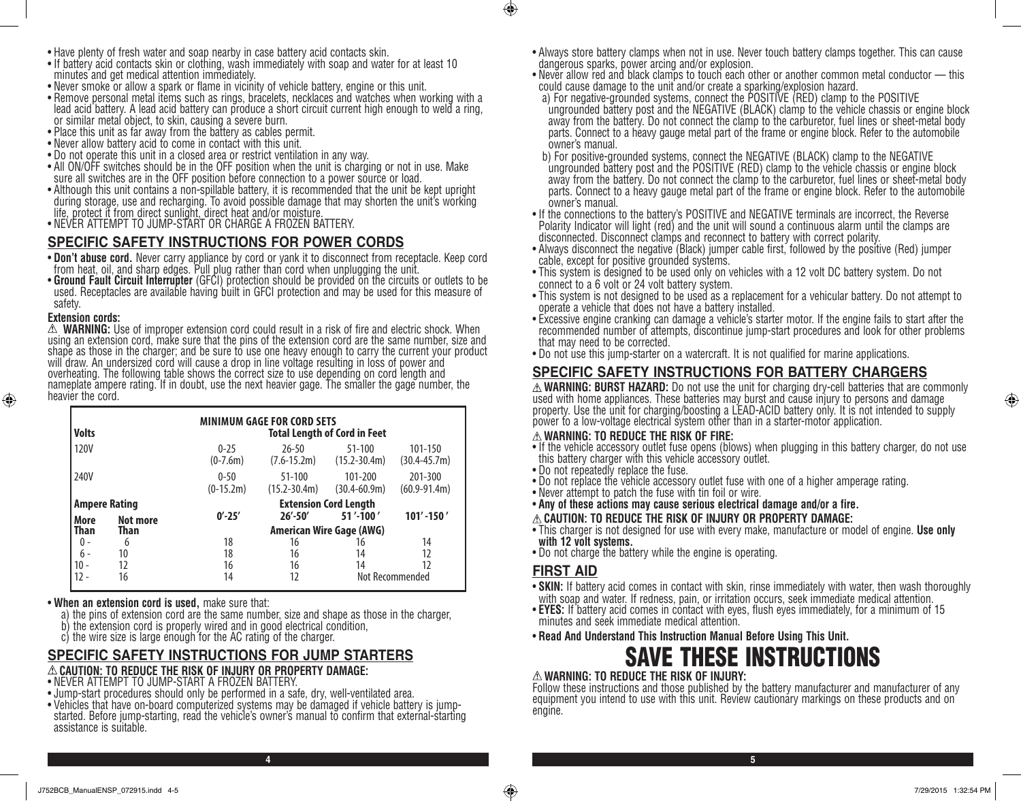- If battery acid contacts skin or clothing, wash immediately with soap and water for at least 10 minutes and get medical attention immediately.
- Never smoke or allow a spark or flame in vicinity of vehicle battery, engine or this unit.
- Remove personal metal items such as rings, bracelets, necklaces and watches when working with a lead acid battery. A lead acid battery can produce a short circuit current high enough to weld a ring, or similar metal object, to skin, causing a severe burn.
- Place this unit as far away from the battery as cables permit.
- Never allow battery acid to come in contact with this unit.
- 
- Do not operate this unit in a closed area or restrict ventilation in any way. sure all switches are in the OFF position before connection to a power source or load.
- Although this unit contains a non-spillable battery, it is recommended that the unit be kept upright during storage, use and recharging. To avoid possible damage that may shorten the unit's working life, protect it from direct sunlight, direct heat and/or moisture.
- NEVER ATTEMPT TO JUMP-START OR CHARGE A FROZEN BATTERY.

### **SPECIFIC SAFETY INSTRUCTIONS FOR POWER CORDS**

- **Don't abuse cord.** Never carry appliance by cord or yank it to disconnect from receptacle. Keep cord from heat, oil, and sharp edges. Pull plug rather than cord when unplugging the unit.<br>• Ground Fault Circuit Interrupt
- used. Receptacles are available having built in GFCI protection and may be used for this measure of safety.

### **Extension cords:**

⊕

 $\Delta$  **WARNING:** Use of improper extension cord could result in a risk of fire and electric shock. When<br>using an extension cord, make sure that the pins of the extension cord are the same number, size and shape as those in the charger; and be sure to use one heavy enough to carry the current your product will draw. An undersized cord will cause a drop in line voltage resulting in loss of power and overheating. The following table shows the correct size to use depending on cord length and nameplate ampere rating. If in doubt, use the next heavier gage. The smaller the gage number, the heavier the cord.

| <b>Volts</b>               |          | <b>MINIMUM GAGE FOR CORD SETS</b><br><b>Total Length of Cord in Feet</b> |                                 |                                |                             |  |
|----------------------------|----------|--------------------------------------------------------------------------|---------------------------------|--------------------------------|-----------------------------|--|
| 120V                       |          | $0 - 25$<br>$(0-7.6m)$                                                   | $26 - 50$<br>$(7.6 - 15.2m)$    | $51 - 100$<br>$(15.2 - 30.4m)$ | 101-150<br>$(30.4 - 45.7)$  |  |
| 240V                       |          | $0 - 50$<br>$(0-15.2m)$                                                  | $51 - 100$<br>$(15.2 - 30.4m)$  | 101-200<br>$(30.4 - 60.9m)$    | 201-300<br>$(60.9 - 91.4m)$ |  |
| <b>Ampere Rating</b>       |          |                                                                          | <b>Extension Cord Length</b>    |                                |                             |  |
| More                       | Not more | $0' - 25'$                                                               | $26' - 50'$                     | 51'-100'                       | $101' - 150'$               |  |
| <b>Than</b><br><b>Than</b> |          |                                                                          | <b>American Wire Gage (AWG)</b> |                                |                             |  |
| 0 -                        | 6        | 18                                                                       | 16                              | 16                             | 14                          |  |
| $6 -$                      | 10       | 18                                                                       | 16                              | 14                             | 12                          |  |
| $10 -$                     | 12       | 16                                                                       | 16                              | 14                             | 12                          |  |
| 12 -                       | 16       | 14                                                                       | 12                              |                                | Not Recommended             |  |

#### • **When an extension cord is used,** make sure that:

- a) the pins of extension cord are the same number, size and shape as those in the charger,
- b) the extension cord is properly wired and in good electrical condition,
- c) the wire size is large enough for the AC rating of the charger.

### **SPECIFIC SAFETY INSTRUCTIONS FOR JUMP STARTERS**

#### **CAUTION: TO REDUCE THE RISK OF INJURY OR PROPERTY DAMAGE:**

- NEVER ATTEMPT TO JUMP-START A FROZEN BATTERY.
- Jump-start procedures should only be performed in a safe, dry, well-ventilated area.
- Vehicles that have on-board computerized systems may be damaged if vehicle battery is jumpstarted. Before jump-starting, read the vehicle's owner's manual to confirm that external-starting assistance is suitable.
- Always store battery clamps when not in use. Never touch battery clamps together. This can cause dangerous sparks, power arcing and/or explosion.
- Never allow red and black clamps to touch each other or another common metal conductor this could cause damage to the unit and/or create a sparking/explosion hazard.
- a) For negative-grounded systems, connect the POSITIVE (RED) clamp to the POSITIVE ungrounded battery post and the NEGATIVE (BLACK) clamp to the vehicle chassis or engine block away from the battery. Do not connect the clamp to the carburetor, fuel lines or sheet-metal body parts. Connect to a heavy gauge metal part of the frame or engine block. Refer to the automobile owner's manual.
- b) For positive-grounded systems, connect the NEGATIVE (BLACK) clamp to the NEGATIVE ungrounded battery post and the POSITIVE (RED) clamp to the vehicle chassis or engine block away from the battery. Do not connect the clamp to the carburetor, fuel lines or sheet-metal body parts. Connect to a heavy gauge metal part of the frame or engine block. Refer to the automobile owner's manual.
- If the connections to the battery's POSITIVE and NEGATIVE terminals are incorrect, the Reverse Polarity Indicator will light (red) and the unit will sound a continuous alarm until the clamps are disconnected. Disconnect clamps and reconnect to battery with correct polarity.
- Always disconnect the negative (Black) jumper cable first, followed by the positive (Red) jumper cable, except for positive grounded systems.
- This system is designed to be used only on vehicles with a 12 volt DC battery system. Do not connect to a 6 volt or 24 volt battery system.
- This system is not designed to be used as a replacement for a vehicular battery. Do not attempt to operate a vehicle that does not have a battery installed.
- Excessive engine cranking can damage a vehicle's starter motor. If the engine fails to start after the recommended number of attempts, discontinue jump-start procedures and look for other problems that may need to be corrected.
- Do not use this jump-starter on a watercraft. It is not qualified for marine applications.

### **SPECIFIC SAFETY INSTRUCTIONS FOR BATTERY CHARGERS**

**WARNING: BURST HAZARD:** Do not use the unit for charging dry-cell batteries that are commonly used with home appliances. These batteries may burst and cause injury to persons and damage property. Use the unit for charging/boosting a LEAD-ACID battery only. It is not intended to supply power to a low-voltage electrical system other than in a starter-motor application.

#### **WARNING: TO REDUCE THE RISK OF FIRE:**

- If the vehicle accessory outlet fuse opens (blows) when plugging in this battery charger, do not use this battery charger with this vehicle accessory outlet.
- Do not repeatedly replace the fuse.
- Do not replace the vehicle accessory outlet fuse with one of a higher amperage rating.
- Never attempt to patch the fuse with tin foil or wire.
- **Any of these actions may cause serious electrical damage and/or a fire.**
- **CAUTION: TO REDUCE THE RISK OF INJURY OR PROPERTY DAMAGE:**
- This charger is not designed for use with every make, manufacture or model of engine. **Use only with 12 volt systems.**
- Do not charge the battery while the engine is operating.

### **FIRST AID**

- **SKIN:** If battery acid comes in contact with skin, rinse immediately with water, then wash thoroughly with soap and water. If redness, pain, or irritation occurs, seek immediate medical attention.
- **EYES:** If battery acid comes in contact with eyes, flush eyes immediately, for a minimum of 15 minutes and seek immediate medical attention.
- **Read And Understand This Instruction Manual Before Using This Unit.**

# SAVE THESE INSTRUCTIONS

### **WARNING: TO REDUCE THE RISK OF INJURY:**

Follow these instructions and those published by the battery manufacturer and manufacturer of any equipment you intend to use with this unit. Review cautionary markings on these products and on engine.

⊕

**4 5**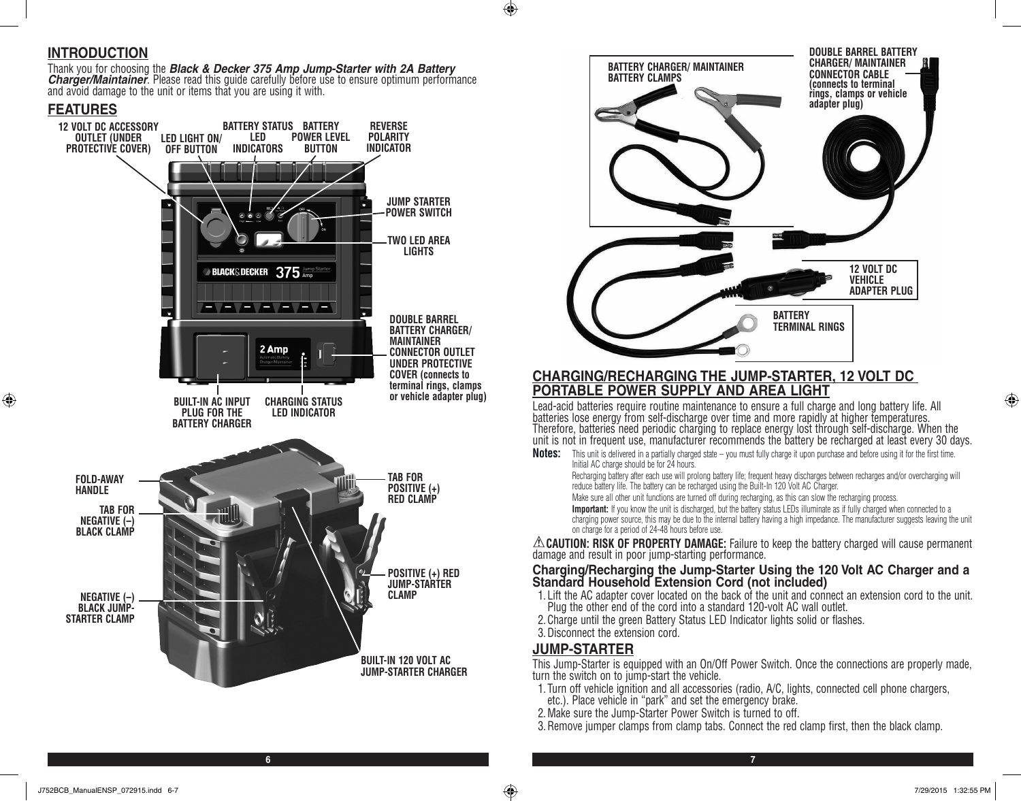### **INTRODUCTION**

Thank you for choosing the **Black & Decker 375 Amp Jump-Starter with 2A Battery**<br>**Charger/Maintainer**. Please read this guide carefully before use to ensure optimum performance and avoid damage to the unit or items that yo

### **FEATURES**

⊕





### **CHARGING/RECHARGING THE JUMP-STARTER, 12 VOLT DC PORTABLE POWER SUPPLY AND AREA LIGHT**

Lead-acid batteries require routine maintenance to ensure a full charge and long battery life. All batteries lose energy from self-discharge over time and more rapidly at higher temperatures. Therefore, batteries need periodic charging to replace energy lost through self-discharge. When the unit is not in frequent use, manufacturer recommends the battery be recharged at least every 30 days.

**Notes:** This unit is delivered in a partially charged state – you must fully charge it upon purchase and before using it for the first time. Initial AC charge should be for 24 hours.

Recharging battery after each use will prolong battery life; frequent heavy discharges between recharges and/or overcharging will reduce battery life. The battery can be recharged using the Built-In 120 Volt AC Charger.

Make sure all other unit functions are turned off during recharging, as this can slow the recharging process.

Important: If you know the unit is discharged, but the battery status LEDs illuminate as if fully charged when connected to a charging power source, this may be due to the internal battery having a high impedance. The manufacturer suggests leaving the unit on charge for a period of 24-48 hours before use.

**CAUTION: RISK OF PROPERTY DAMAGE:** Failure to keep the battery charged will cause permanent damage and result in poor jump-starting performance.

### **Charging/Recharging the Jump-Starter Using the 120 Volt AC Charger and a Standard Household Extension Cord (not included)**

- 1. Lift the AC adapter cover located on the back of the unit and connect an extension cord to the unit. Plug the other end of the cord into a standard 120-volt AC wall outlet.
- 2.Charge until the green Battery Status LED Indicator lights solid or flashes.
- 3.Disconnect the extension cord.

### **JUMP-STARTER**

**6 7**

 $\bigcirc$ 

This Jump-Starter is equipped with an On/Off Power Switch. Once the connections are properly made, turn the switch on to jump-start the vehicle.

- 1. Turn off vehicle ignition and all accessories (radio, A/C, lights, connected cell phone chargers,
- etc.). Place vehicle in "park" and set the emergency brake.
- 2.Make sure the Jump-Starter Power Switch is turned to off.
- 3.Remove jumper clamps from clamp tabs. Connect the red clamp first, then the black clamp.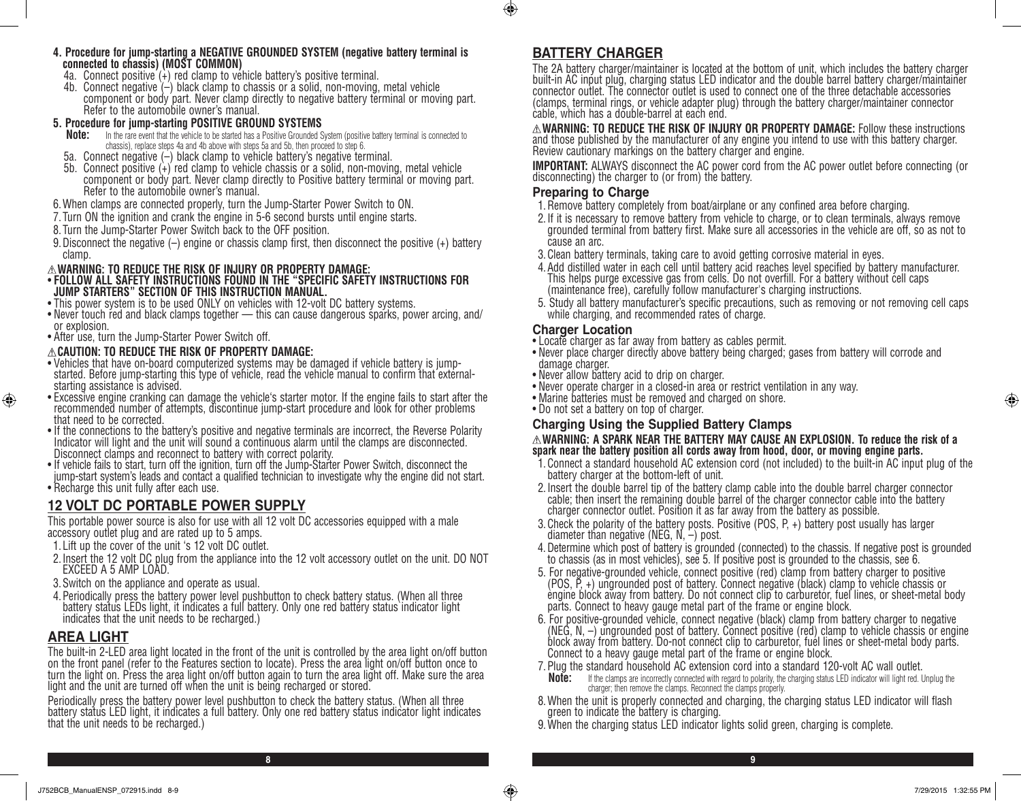- **4. Procedure for jump-starting a NEGATIVE GROUNDED SYSTEM (negative battery terminal is connected to chassis) (MOST COMMON)**
- 4a. Connect positive  $(+)$  red clamp to vehicle battery's positive terminal.
- 4b. Connect negative (–) black clamp to chassis or a solid, non-moving, metal vehicle component or body part. Never clamp directly to negative battery terminal or moving part. Refer to the automobile owner's manual.

# **5. Procedure for jump-starting POSITIVE GROUND SYSTEMS**<br>**Note:** In the rare event that the vehicle to be started has a Positive Grounded S

- **Note:** In the rare event that the vehicle to be started has a Positive Grounded System (positive battery terminal is connected to chassis), replace steps 4a and 4b above with steps 5a and 5b, then proceed to step 6.
- 5a. Connect negative (–) black clamp to vehicle battery's negative terminal.
- 5b. Connect positive (+) red clamp to vehicle chassis or a solid, non-moving, metal vehicle component or body part. Never clamp directly to Positive battery terminal or moving part. Refer to the automobile owner's manual.
- 6.When clamps are connected properly, turn the Jump-Starter Power Switch to ON.
- 7. Turn ON the ignition and crank the engine in 5-6 second bursts until engine starts.
- 8. Turn the Jump-Starter Power Switch back to the OFF position.
- 9.Disconnect the negative (–) engine or chassis clamp first, then disconnect the positive (+) battery clamp.

### **WARNING: TO REDUCE THE RISK OF INJURY OR PROPERTY DAMAGE:**

### • **FOLLOW ALL SAFETY INSTRUCTIONS FOUND IN THE "SPECIFIC SAFETY INSTRUCTIONS FOR JUMP STARTERS" SECTION OF THIS INSTRUCTION MANUAL.**

- This power system is to be used ONLY on vehicles with 12-volt DC battery systems.
- Never touch red and black clamps together this can cause dangerous sparks, power arcing, and/ or explosion.
- After use, turn the Jump-Starter Power Switch off.

### **CAUTION: TO REDUCE THE RISK OF PROPERTY DAMAGE:**

- Vehicles that have on-board computerized systems may be damaged if vehicle battery is jumpstarted. Before jump-starting this type of vehicle, read the vehicle manual to confirm that externalstarting assistance is advised.
- Excessive engine cranking can damage the vehicle's starter motor. If the engine fails to start after the recommended number of attempts, discontinue jump-start procedure and look for other problems that need to be corrected.
- If the connections to the battery's positive and negative terminals are incorrect, the Reverse Polarity Indicator will light and the unit will sound a continuous alarm until the clamps are disconnected. Disconnect clamps and reconnect to battery with correct polarity.
- If vehicle fails to start, turn off the ignition, turn off the Jump-Starter Power Switch, disconnect the jump-start system's leads and contact a qualified technician to investigate why the engine did not start.
- Recharge this unit fully after each use.

# **12 VOLT DC PORTABLE POWER SUPPLY**

This portable power source is also for use with all 12 volt DC accessories equipped with a male accessory outlet plug and are rated up to 5 amps.

- 1. Lift up the cover of the unit 's 12 volt DC outlet.
- 2.Insert the 12 volt DC plug from the appliance into the 12 volt accessory outlet on the unit. DO NOT EXCEED A 5 AMP LOAD.
- 3.Switch on the appliance and operate as usual.
- 4.Periodically press the battery power level pushbutton to check battery status. (When all three battery status LEDs light, it indicates a full battery. Only one red battery status indicator light indicates that the unit needs to be recharged.)

### **AREA LIGHT**

The built-in 2-LED area light located in the front of the unit is controlled by the area light on/off button on the front panel (refer to the Features section to locate). Press the area light on/off button once to turn the light on. Press the area light on/off button again to turn the area light off. Make sure the area light and the unit are turned off when the unit is being recharged or stored.

Periodically press the battery power level pushbutton to check the battery status. (When all three battery status LED light, it indicates a full battery. Only one red battery status indicator light indicates that the unit needs to be recharged.)

# **BATTERY CHARGER**

 $\bigcirc$ 

The 2A battery charger/maintainer is located at the bottom of unit, which includes the battery charger built-in AC input plug, charging status LED indicator and the double barrel battery charger/maintainer connector outlet. The connector outlet is used to connect one of the three detachable accessories (clamps, terminal rings, or vehicle adapter plug) through the battery charger/maintainer connector cable, which has a double-barrel at each end.

**WARNING: TO REDUCE THE RISK OF INJURY OR PROPERTY DAMAGE:** Follow these instructions and those published by the manufacturer of any engine you intend to use with this battery charger. Review cautionary markings on the battery charger and engine.

**IMPORTANT:** ALWAYS disconnect the AC power cord from the AC power outlet before connecting (or disconnecting) the charger to (or from) the battery.

### **Preparing to Charge**

- 1.Remove battery completely from boat/airplane or any confined area before charging.
- 2.If it is necessary to remove battery from vehicle to charge, or to clean terminals, always remove grounded terminal from battery first. Make sure all accessories in the vehicle are off, so as not to cause an arc.
- 3.Clean battery terminals, taking care to avoid getting corrosive material in eyes.
- 4.Add distilled water in each cell until battery acid reaches level specified by battery manufacturer. This helps purge excessive gas from cells. Do not overfill. For a battery without cell caps (maintenance free), carefully follow manufacturer's charging instructions.
- 5. Study all battery manufacturer's specific precautions, such as removing or not removing cell caps while charging, and recommended rates of charge.

### **Charger Location**

- Locate charger as far away from battery as cables permit.
- Never place charger directly above battery being charged; gases from battery will corrode and damage charger.
- Never allow battery acid to drip on charger.
- Never operate charger in a closed-in area or restrict ventilation in any way.
- Marine batteries must be removed and charged on shore.
- Do not set a battery on top of charger.

### **Charging Using the Supplied Battery Clamps**

### **WARNING: A SPARK NEAR THE BATTERY MAY CAUSE AN EXPLOSION. To reduce the risk of a spark near the battery position all cords away from hood, door, or moving engine parts.**

- 1.Connect a standard household AC extension cord (not included) to the built-in AC input plug of the battery charger at the bottom-left of unit.
- 2.Insert the double barrel tip of the battery clamp cable into the double barrel charger connector cable; then insert the remaining double barrel of the charger connector cable into the battery charger connector outlet. Position it as far away from the battery as possible.
- 3.Check the polarity of the battery posts. Positive (POS, P, +) battery post usually has larger diameter than negative (NEG, N, –) post.
- 4.Determine which post of battery is grounded (connected) to the chassis. If negative post is grounded to chassis (as in most vehicles), see 5. If positive post is grounded to the chassis, see 6.
- 5. For negative-grounded vehicle, connect positive (red) clamp from battery charger to positive (POS, P, +) ungrounded post of battery. Connect negative (black) clamp to vehicle chassis or engine block away from battery. Do not connect clip to carburetor, fuel lines, or sheet-metal body parts. Connect to heavy gauge metal part of the frame or engine block.
- 6. For positive-grounded vehicle, connect negative (black) clamp from battery charger to negative (NEG, N,  $-$ ) ungrounded post of battery. Connect positive (red) clamp to vehicle chassis or engine block away from battery. Do-not connect clip to carburetor, fuel lines or sheet-metal body parts. Connect to a heavy gauge metal part of the frame or engine block.
- 7. Plug the standard household AC extension cord into a standard 120-volt AC wall outlet.<br>**Note:** If the clamps are incorrectly connected with regard to polarity the charging status LED indicator will light red.
- **Note:** If the clamps are incorrectly connected with regard to polarity, the charging status LED indicator will light red. Unplug the charger; then remove the clamps. Reconnect the clamps properly.
- 8.When the unit is properly connected and charging, the charging status LED indicator will flash green to indicate the battery is charging.
- 9.When the charging status LED indicator lights solid green, charging is complete.

⊕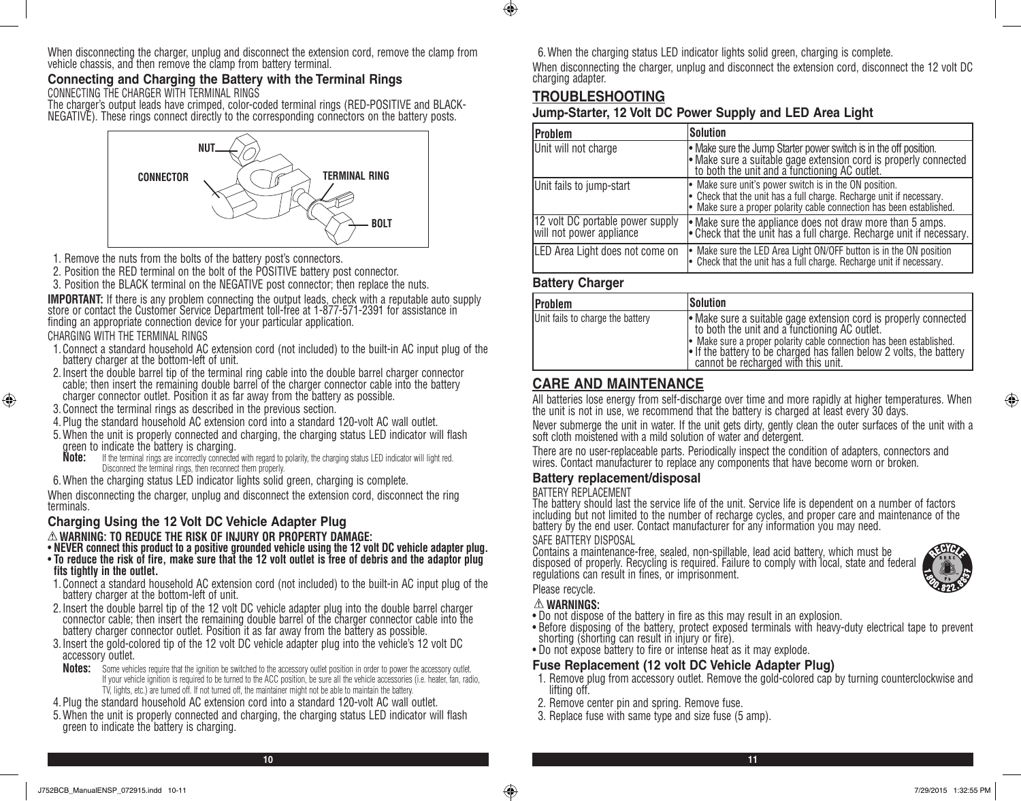When disconnecting the charger, unplug and disconnect the extension cord, remove the clamp from vehicle chassis, and then remove the clamp from battery terminal.

### **Connecting and Charging the Battery with the Terminal Rings** CONNECTING THE CHARGER WITH TERMINAL RINGS

The charger's output leads have crimped, color-coded terminal rings (RED-POSITIVE and BLACK-NEGATIVE). These rings connect directly to the corresponding connectors on the battery posts.



- 1. Remove the nuts from the bolts of the battery post's connectors.
- 2. Position the RED terminal on the bolt of the POSITIVE battery post connector.

3. Position the BLACK terminal on the NEGATIVE post connector; then replace the nuts.

**IMPORTANT:** If there is any problem connecting the output leads, check with a reputable auto supply store or contact the Customer Service Department toll-free at 1-877-571-2391 for assistance in finding an appropriate connection device for your particular application.

CHARGING WITH THE TERMINAL RINGS

⊕

- 1.Connect a standard household AC extension cord (not included) to the built-in AC input plug of the battery charger at the bottom-left of unit.
- 2.Insert the double barrel tip of the terminal ring cable into the double barrel charger connector cable; then insert the remaining double barrel of the charger connector cable into the battery charger connector outlet. Position it as far away from the battery as possible.
- 3.Connect the terminal rings as described in the previous section.
- 4.Plug the standard household AC extension cord into a standard 120-volt AC wall outlet.
- 5.When the unit is properly connected and charging, the charging status LED indicator will flash green to indicate the battery is charging.<br>**Note:** If the terminal rings are incorrectly connected
	- If the terminal rings are incorrectly connected with regard to polarity, the charging status LED indicator will light red. Disconnect the terminal rings, then reconnect them properly.
- 6.When the charging status LED indicator lights solid green, charging is complete.

When disconnecting the charger, unplug and disconnect the extension cord, disconnect the ring terminals.

### **Charging Using the 12 Volt DC Vehicle Adapter Plug WARNING: TO REDUCE THE RISK OF INJURY OR PROPERTY DAMAGE:**

- **NEVER connect this product to a positive grounded vehicle using the 12 volt DC vehicle adapter plug.**
- **To reduce the risk of fire, make sure that the 12 volt outlet is free of debris and the adaptor plug fits tightly in the outlet.**
- 1.Connect a standard household AC extension cord (not included) to the built-in AC input plug of the battery charger at the bottom-left of unit.
- 2.Insert the double barrel tip of the 12 volt DC vehicle adapter plug into the double barrel charger connector cable; then insert the remaining double barrel of the charger connector cable into the battery charger connector outlet. Position it as far away from the battery as possible.
- 3.Insert the gold-colored tip of the 12 volt DC vehicle adapter plug into the vehicle's 12 volt DC accessory outlet.
- **Notes:** Some vehicles require that the ignition be switched to the accessory outlet position in order to power the accessory outlet. If your vehicle ignition is required to be turned to the ACC position, be sure all the vehicle accessories (i.e. heater, fan, radio, TV, lights, etc.) are turned off. If not turned off, the maintainer might not be able to maintain the battery.

4.Plug the standard household AC extension cord into a standard 120-volt AC wall outlet.

5.When the unit is properly connected and charging, the charging status LED indicator will flash green to indicate the battery is charging.

6.When the charging status LED indicator lights solid green, charging is complete. When disconnecting the charger, unplug and disconnect the extension cord, disconnect the 12 volt DC charging adapter.

# **TROUBLESHOOTING**

 $\bigoplus$ 

### **Jump-Starter, 12 Volt DC Power Supply and LED Area Light**

| Problem                                                      | Solution                                                                                                                                                                                             |
|--------------------------------------------------------------|------------------------------------------------------------------------------------------------------------------------------------------------------------------------------------------------------|
| Unit will not charge                                         | • Make sure the Jump Starter power switch is in the off position.<br>• Make sure a suitable gage extension cord is properly connected<br>to both the unit and a functioning AC outlet.               |
| Unit fails to jump-start                                     | • Make sure unit's power switch is in the ON position.<br>• Check that the unit has a full charge. Recharge unit if necessary.<br>Make sure a proper polarity cable connection has been established. |
| 12 volt DC portable power supply<br>will not power appliance | • Make sure the appliance does not draw more than 5 amps.<br>• Check that the unit has a full charge. Recharge unit if necessary.                                                                    |
| LED Area Light does not come on                              | • Make sure the LED Area Light ON/OFF button is in the ON position<br>$\cdot$ Check that the unit has a full charge. Recharge unit if necessary.                                                     |

### **Battery Charger**

| Problem                          | Solution                                                                                                                                                                                                                                                                                               |
|----------------------------------|--------------------------------------------------------------------------------------------------------------------------------------------------------------------------------------------------------------------------------------------------------------------------------------------------------|
| Unit fails to charge the battery | • Make sure a suitable gage extension cord is properly connected<br>to both the unit and a functioning AC outlet.<br>• Make sure a proper polarity cable connection has been established.<br>If the battery to be charged has fallen below 2 volts, the battery<br>cannot be recharged with this unit. |

### **CARE AND MAINTENANCE**

All batteries lose energy from self-discharge over time and more rapidly at higher temperatures. When the unit is not in use, we recommend that the battery is charged at least every 30 days.

Never submerge the unit in water. If the unit gets dirty, gently clean the outer surfaces of the unit with a soft cloth moistened with a mild solution of water and detergent.

There are no user-replaceable parts. Periodically inspect the condition of adapters, connectors and wires. Contact manufacturer to replace any components that have become worn or broken.

### **Battery replacement/disposal**

### BATTERY REPLACEMENT

The battery should last the service life of the unit. Service life is dependent on a number of factors including but not limited to the number of recharge cycles, and proper care and maintenance of the battery by the end user. Contact manufacturer for any information you may need.

### SAFE BATTERY DISPOSAL

Contains a maintenance-free, sealed, non-spillable, lead acid battery, which must be disposed of properly. Recycling is required. Failure to comply with local, state and federal regulations can result in fines, or imprisonment.

Please recycle.

### **WARNINGS:**

- Do not dispose of the battery in fire as this may result in an explosion.
- Before disposing of the battery, protect exposed terminals with heavy-duty electrical tape to prevent shorting (shorting can result in injury or fire).
- Do not expose battery to fire or intense heat as it may explode.

### **Fuse Replacement (12 volt DC Vehicle Adapter Plug)**

- 1. Remove plug from accessory outlet. Remove the gold-colored cap by turning counterclockwise and lifting off.
- 2. Remove center pin and spring. Remove fuse.
- 3. Replace fuse with same type and size fuse (5 amp).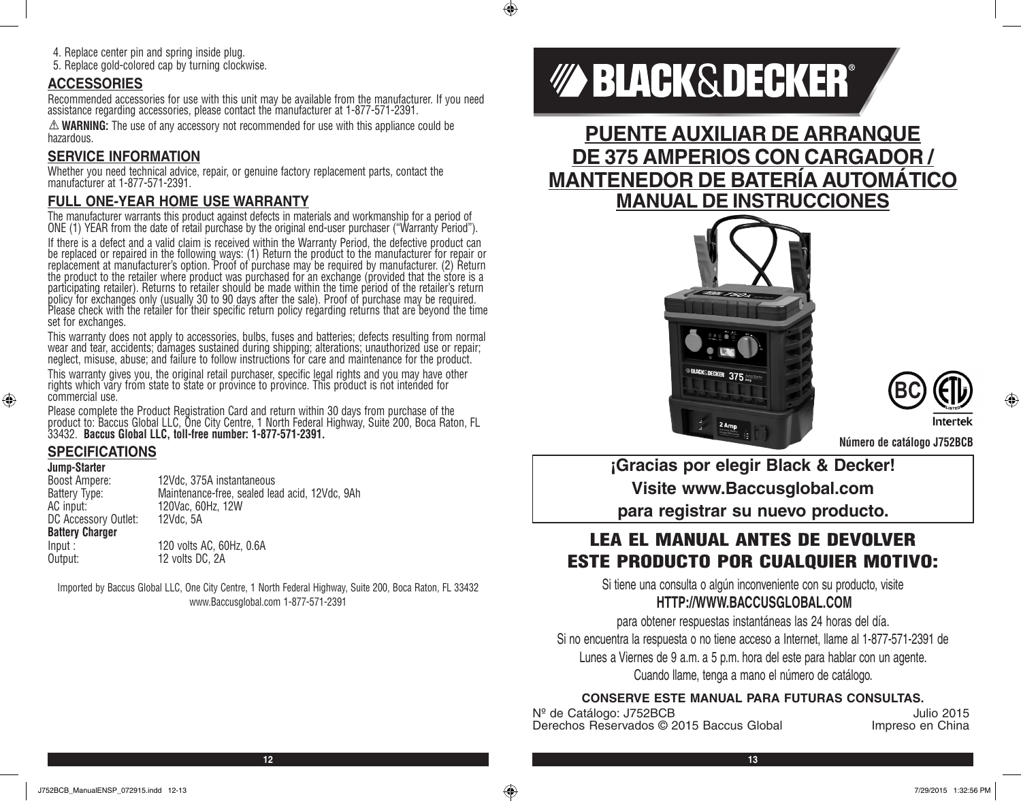4. Replace center pin and spring inside plug.

5. Replace gold-colored cap by turning clockwise.

### **ACCESSORIES**

Recommended accessories for use with this unit may be available from the manufacturer. If you need assistance regarding accessories, please contact the manufacturer at 1-877-571-2391.

**WARNING:** The use of any accessory not recommended for use with this appliance could be hazardous.

### **SERVICE INFORMATION**

Whether you need technical advice, repair, or genuine factory replacement parts, contact the manufacturer at 1-877-571-2391.

### **FULL ONE-YEAR HOME USE WARRANTY**

The manufacturer warrants this product against defects in materials and workmanship for a period of ONE (1) YEAR from the date of retail purchase by the original end-user purchaser ("Warranty Period").

If there is a defect and a valid claim is received within the Warranty Period, the defective product can be replaced or repaired in the following ways: (1) Return the product to the manufacturer for repair or replacement at manufacturer's option. Proof of purchase may be required by manufacturer. (2) Return the product to the retailer where product was purchased for an exchange (provided that the store is a participating retailer). Returns to retailer should be made within the time period of the retailer's return policy for exchanges only (usually 30 to 90 days after the sale). Proof of purchase may be required. Please check with the retailer for their specific return policy regarding returns that are beyond the time set for exchanges.

This warranty does not apply to accessories, bulbs, fuses and batteries; defects resulting from normal wear and tear, accidents; damages sustained during shipping; alterations; unauthorized use or repair; neglect, misuse, abuse; and failure to follow instructions for care and maintenance for the product.

This warranty gives you, the original retail purchaser, specific legal rights and you may have other rights which vary from state to state or province to province. This product is not intended for commercial use.

Please complete the Product Registration Card and return within 30 days from purchase of the product to: Baccus Global LLC, One City Centre, 1 North Federal Highway, Suite 200, Boca Raton, FL 33432. **Baccus Global LLC, toll-free number: 1-877-571-2391.** 

# **SPECIFICATIONS**

### **Jump-Starter**

⊕

| Boost Ampere:          | 12Vdc, 375A instantaneous                      |
|------------------------|------------------------------------------------|
| Battery Type:          | Maintenance-free, sealed lead acid, 12Vdc, 9Ah |
| AC input:              | 120Vac. 60Hz. 12W                              |
| DC Accessory Outlet:   | 12Vdc. 5A                                      |
| <b>Battery Charger</b> |                                                |
| Input:                 | 120 volts AC, 60Hz, 0.6A                       |
| Output:                | 12 volts DC, 2A                                |

Imported by Baccus Global LLC, One City Centre, 1 North Federal Highway, Suite 200, Boca Raton, FL 33432 www.Baccusglobal.com 1-877-571-2391

# *MA BLACK&DECKER®*

**PUENTE AUXILIAR DE ARRANQUE DE 375 AMPERIOS CON CARGADOR / MANTENEDOR DE BATERÍA AUTOMÁTICO MANUAL DE INSTRUCCIONES**





**Número de catálogo J752BCB**

**¡Gracias por elegir Black & Decker! Visite www.Baccusglobal.com para registrar su nuevo producto.**

# LEA EL MANUAL ANTES DE DEVOLVER ESTE PRODUCTO POR CUALQUIER MOTIVO:

Si tiene una consulta o algún inconveniente con su producto, visite **HTTP://WWW.BACCUSGLOBAL.COM**

para obtener respuestas instantáneas las 24 horas del día. Si no encuentra la respuesta o no tiene acceso a Internet, llame al 1-877-571-2391 de Lunes a Viernes de 9 a.m. a 5 p.m. hora del este para hablar con un agente. Cuando llame, tenga a mano el número de catálogo.

### **CONSERVE ESTE MANUAL PARA FUTURAS CONSULTAS.**

Nº de Catálogo: J752BCB<br>Derechos Reservados © 2015 Baccus Global *Impreso* en China Derechos Reservados © 2015 Baccus Global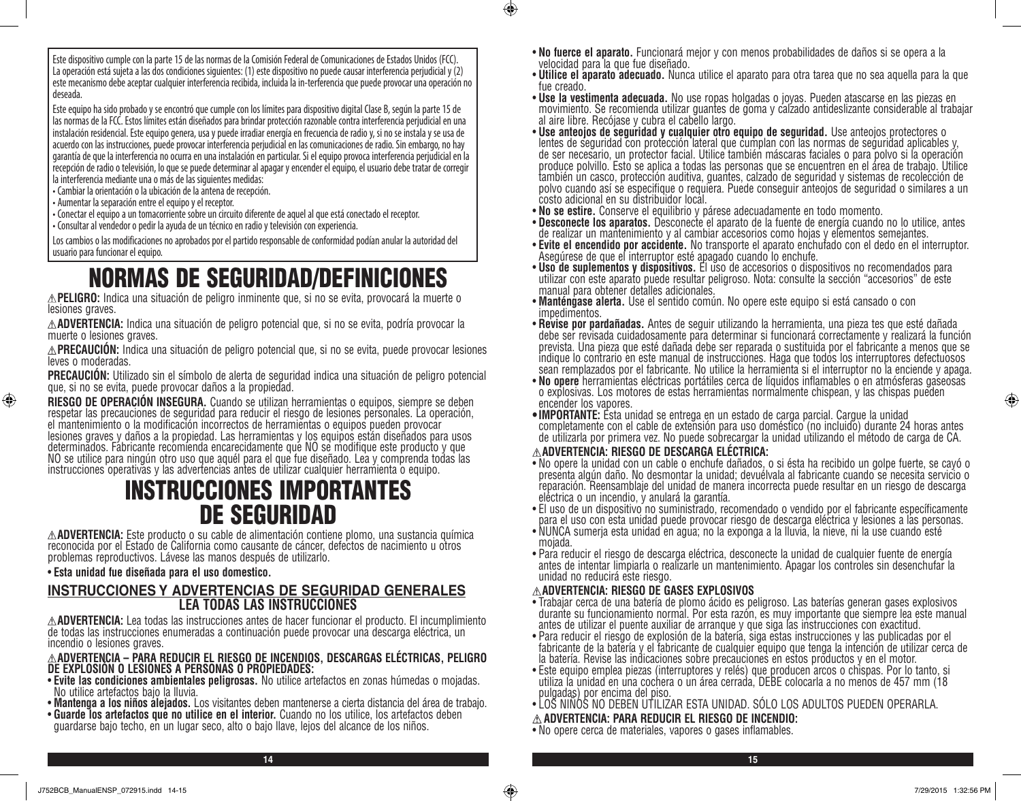Este dispositivo cumple con la parte 15 de las normas de la Comisión Federal de Comunicaciones de Estados Unidos (FCC). La operación está sujeta a las dos condiciones siguientes: (1) este dispositivo no puede causar interferencia perjudicial y (2) este mecanismo debe aceptar cualquier interferencia recibida, incluida la in-terferencia que puede provocar una operación no deseada.

Este equipo ha sido probado y se encontró que cumple con los límites para dispositivo digital Clase B, según la parte 15 de las normas de la FCC. Estos límites están diseñados para brindar protección razonable contra interferencia perjudicial en una instalación residencial. Este equipo genera, usa y puede irradiar energía en frecuencia de radio y, si no se instala y se usa de acuerdo con las instrucciones, puede provocar interferencia perjudicial en las comunicaciones de radio. Sin embargo, no hay garantía de que la interferencia no ocurra en una instalación en particular. Si el equipo provoca interferencia perjudicial en la recepción de radio o televisión, lo que se puede determinar al apagar y encender el equipo, el usuario debe tratar de corregir la interferencia mediante una o más de las siguientes medidas:

•Cambiar la orientación o la ubicación de la antena de recepción.

• Aumentar la separación entre el equipo y el receptor.

⊕

•Conectar el equipo a un tomacorriente sobre un circuito diferente de aquel al que está conectado el receptor. •Consultar al vendedor o pedir la ayuda de un técnico en radio y televisión con experiencia.

Los cambios o las modificaciones no aprobados por el partido responsable de conformidad podían anular la autoridad del usuario para funcionar el equipo.

# NORMAS DE SEGURIDAD/DEFINICIONES

**PELIGRO:** Indica una situación de peligro inminente que, si no se evita, provocará la muerte o lesiones graves.

**ADVERTENCIA:** Indica una situación de peligro potencial que, si no se evita, podría provocar la muerte o lesiones graves.

**PRECAUCIÓN:** Indica una situación de peligro potencial que, si no se evita, puede provocar lesiones leves o moderadas.

**PRECAUCIÓN:** Utilizado sin el símbolo de alerta de seguridad indica una situación de peligro potencial que, si no se evita, puede provocar daños a la propiedad.

**RIESGO DE OPERACIÓN INSEGURA.** Cuando se utilizan herramientas o equipos, siempre se deben respetar las precauciones de seguridad para reducir el riesgo de lesiones personales. La operación, el mantenimiento o la modificación incorrectos de herramientas o equipos pueden provocar lesiones graves y daños a la propiedad. Las herramientas y los equipos están diseñados para usos determinados. Fabricante recomienda encarecidamente que NO se modifique este producto y que NO se utilice para ningún otro uso que aquél para el que fue diseñado. Lea y comprenda todas las instrucciones operativas y las advertencias antes de utilizar cualquier herramienta o equipo.

# INSTRUCCIONES IMPORTANTES **DE SEGURIDAD**<br>A**ADVERTENCIA:** Este producto o su cable de alimentación contiene plomo, una sustancia química

reconocida por el Estado de California como causante de cáncer, defectos de nacimiento u otros problemas reproductivos. Lávese las manos después de utilizarlo.

### • **Esta unidad fue diseñada para el uso domestico.**

### **INSTRUCCIONES Y ADVERTENCIAS DE SEGURIDAD GENERALES LEA TODAS LAS INSTRUCCIONES**

**ADVERTENCIA:** Lea todas las instrucciones antes de hacer funcionar el producto. El incumplimiento de todas las instrucciones enumeradas a continuación puede provocar una descarga eléctrica, un incendio o lesiones graves.

# **ADVERTENCIA – PARA REDUCIR EL RIESGO DE INCENDIOS, DESCARGAS ELÉCTRICAS, PELIGRO DE EXPLOSIÓN O LESIONES A PERSONAS O PROPIEDADES:**

- **Evite las condiciones ambientales peligrosas.** No utilice artefactos en zonas húmedas o mojadas. No utilice artefactos bajo la lluvia.
- **Mantenga a los niños alejados.** Los visitantes deben mantenerse a cierta distancia del área de trabajo.
- **Guarde los artefactos que no utilice en el interior.** Cuando no los utilice, los artefactos deben guardarse bajo techo, en un lugar seco, alto o bajo llave, lejos del alcance de los niños.
- **No fuerce el aparato.** Funcionará mejor y con menos probabilidades de daños si se opera a la velocidad para la que fue diseñado.
- **Utilice el aparato adecuado.** Nunca utilice el aparato para otra tarea que no sea aquella para la que fue creado.
- **Use la vestimenta adecuada.** No use ropas holgadas o joyas. Pueden atascarse en las piezas en movimiento. Se recomienda utilizar guantes de goma y calzado antideslizante considerable al trabajar al aire libre. Recójase y cubra el cabello largo.<br>• Use anteojos de seguridad y cualquier otro equipo de seguridad. Use anteojos protectores o
- **Use anteojos de seguridad y cualquier otro equipo de seguridad.** Use anteojos protectores o lentes de seguridad con protección lateral que cumplan con las normas de seguridad aplicables y, de ser necesario, un protector facial. Utilice también máscaras faciales o para polvo si la operación produce polvillo. Esto se aplica a todas las personas que se encuentren en el área de trabajo. Utilice también un casco, protección auditiva, guantes, calzado de seguridad y sistemas de recolección de polvo cuando así se especifique o requiera. Puede conseguir anteojos de seguridad o similares a un costo adicional en su distribuidor local.
- 
- **No se estire.** Conserve el equilibrio y párese adecuadamente en todo momento. • **Desconecte los aparatos.** Desconecte el aparato de la fuente de energía cuando no lo utilice, antes<br>de realizar un mantenimiento y al cambiar accesorios como hojas y elementos semejantes.
- **Evite el encendido por accidente.** No transporte el aparato enchufado con el dedo en el interruptor.<br>Asegúrese de que el interruptor esté apagado cuando lo enchufe.
- **Uso de suplementos y dispositivos.** El uso de accesorios o dispositivos no recomendados para utilizar con este aparato puede resultar peligroso. Nota: consulte la sección "accesorios" de este manual para obtener detalles adicionales.
- **Manténgase alerta.** Use el sentido común. No opere este equipo si está cansado o con<br>impedimentos.<br>• Revise por pardañadas. Antes de seguir utilizando la herramienta, una pieza tes que esté dañada
- debe ser revisada cuidadosamente para determinar si funcionará correctamente y realizará la función prevista. Una pieza que esté dañada debe ser reparada o sustituida por el fabricante a menos que se indique lo contrario en este manual de instrucciones. Haga que todos los interruptores defectuosos sean remplazados por el fabricante. No utilice la herramienta si el interruptor no la enciende y apaga.<br>• No opere herramientas eléctricas portátiles cerca de líquidos inflamables o en atmósferas gaseosas
- **No opere** herramientas eléctricas portátiles cerca de líquidos inflamables o en atmósferas gaseosas o explosivas. Los motores de estas herramientas normalmente chispean, y las chispas pueden encender los vapores.
- **• IMPORTANTE:** Esta unidad se entrega en un estado de carga parcial. Cargue la unidad completamente con el cable de extensión para uso doméstico (no incluido) durante 24 horas antes de utilizarla por primera vez. No puede sobrecargar la unidad utilizando el método de carga de CA.

### **ADVERTENCIA: RIESGO DE DESCARGA ELÉCTRICA:**

- No opere la unidad con un cable o enchufe dañados, o si ésta ha recibido un golpe fuerte, se cayó o presenta algún daño. No desmontar la unidad; devuélvala al fabricante cuando se necesita servicio o reparación. Reensamblaje del unidad de manera incorrecta puede resultar en un riesgo de descarga eléctrica o un incendio, y anulará la garantía.
- El uso de un dispositivo no suministrado, recomendado o vendido por el fabricante específicamente para el uso con esta unidad puede provocar riesgo de descarga eléctrica y lesiones a las personas.
- NUNCA sumerja esta unidad en agua; no la exponga a la lluvia, la nieve, ni la use cuando esté mojada.
- Para reducir el riesgo de descarga eléctrica, desconecte la unidad de cualquier fuente de energía antes de intentar limpiarla o realizarle un mantenimiento. Apagar los controles sin desenchufar la unidad no reducirá este riesgo.

### **ADVERTENCIA: RIESGO DE GASES EXPLOSIVOS**

- Trabajar cerca de una batería de plomo ácido es peligroso. Las baterías generan gases explosivos durante su funcionamiento normal. Por esta razón, es muy importante que siempre lea este manual antes de utilizar el puente auxiliar de arranque y que siga las instrucciones con exactitud.
- Para reducir el riesgo de explosión de la batería, siga estas instrucciones y las publicadas por el fabricante de la batería y el fabricante de cualquier equipo que tenga la intención de utilizar cerca de la batería. Revise las indicaciones sobre precauciones en estos productos y en el motor.
- Este equipo emplea piezas (interruptores y relés) que producen arcos o chispas. Por lo tanto, si utiliza la unidad en una cochera o un área cerrada, DEBE colocarla a no menos de 457 mm (18 pulgadas) por encima del piso.
- LOS NIÑOS NO DEBEN UTILIZAR ESTA UNIDAD. SÓLO LOS ADULTOS PUEDEN OPERARLA.

### **ADVERTENCIA: PARA REDUCIR EL RIESGO DE INCENDIO:**

• No opere cerca de materiales, vapores o gases inflamables.

**14 15**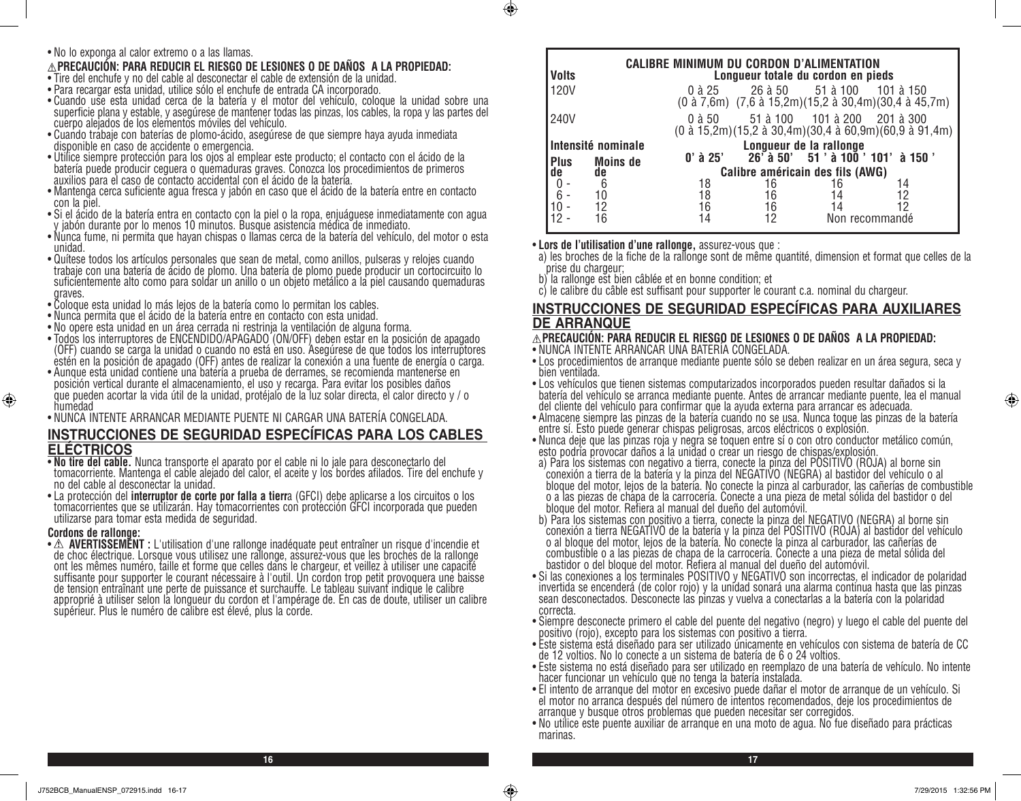• No lo exponga al calor extremo o a las llamas.

### **PRECAUCIÓN: PARA REDUCIR EL RIESGO DE LESIONES O DE DAÑOS A LA PROPIEDAD:**

- Tire del enchufe y no del cable al desconectar el cable de extensión de la unidad.
- Para recargar esta unidad, utilice sólo el enchufe de entrada CA incorporado.
- Cuando use esta unidad cerca de la batería y el motor del vehículo, coloque la unidad sobre una superficie plana y estable, y asegúrese de mantener todas las pinzas, los cables, la ropa y las partes del cuerpo alejados de los elementos móviles del vehículo.
- Cuando trabaje con baterías de plomo-ácido, asegúrese de que siempre haya ayuda inmediata disponible en caso de accidente o emergencia.
- Utilice siempre protección para los ojos al emplear este producto; el contacto con el ácido de la batería puede producir ceguera o quemaduras graves. Conozca los procedimientos de primeros auxilios para el caso de contacto accidental con el ácido de la batería.
- Mantenga cerca suficiente agua fresca y jabón en caso que el ácido de la batería entre en contacto con la piel.
- Si el ácido de la batería entra en contacto con la piel o la ropa, enjuáguese inmediatamente con agua y jabón durante por lo menos 10 minutos. Busque asistencia médica de inmediato.
- Nunca fume, ni permita que hayan chispas o llamas cerca de la batería del vehículo, del motor o esta unidad.
- Quítese todos los artículos personales que sean de metal, como anillos, pulseras y relojes cuando trabaje con una batería de ácido de plomo. Una batería de plomo puede producir un cortocircuito lo suficientemente alto como para soldar un anillo o un objeto metálico a la piel causando quemaduras graves.
- Coloque esta unidad lo más lejos de la batería como lo permitan los cables.
- Nunca permita que el ácido de la batería entre en contacto con esta unidad.
- No opere esta unidad en un área cerrada ni restrinja la ventilación de alguna forma.
- Todos los interruptores de ENCENDIDO/APAGADO (ON/OFF) deben estar en la posición de apagado (OFF) cuando se carga la unidad o cuando no está en uso. Asegúrese de que todos los interruptores estén en la posición de apagado (OFF) antes de realizar la conexión a una fuente de energía o carga.
- Aunque esta unidad contiene una batería a prueba de derrames, se recomienda mantenerse en posición vertical durante el almacenamiento, el uso y recarga. Para evitar los posibles daños que pueden acortar la vida útil de la unidad, protéjalo de la luz solar directa, el calor directo y / o humedad
- NUNCA INTENTE ARRANCAR MEDIANTE PUENTE NI CARGAR UNA BATERÍA CONGELADA.

# **INSTRUCCIONES DE SEGURIDAD ESPECÍFICAS PARA LOS CABLES ELÉCTRICOS**<br>• No tire del cable. Nunca transporte el aparato por el cable ni lo jale para desconectarlo del

- tomacorriente. Mantenga el cable alejado del calor, el aceite y los bordes afilados. Tire del enchufe y
- no del cable al desconectar la unidad.<br>• La protección del **interruptor de corte por falla a tierr**a (GFCI) debe aplicarse a los circuitos o los tomacorrientes que se utilizarán. Hay tomacorrientes con protección GFCI incorporada que pueden utilizarse para tomar esta medida de seguridad.

⊕

**Cordons de rallonge:**<br>• ∆ **AVERTISSEMENT** : L'utilisation d'une rallonge inadéquate peut entraîner un risque d'incendie et • **AVERTISSEMENT :** L'utilisation d'une rallonge inadéquate peut entraîner un risque d'incendie et de choc électrique. Lorsque vous utilisez une rallonge, assurez-vous que les broches de la rallonge ont les mêmes numéro, taille et forme que celles dans le chargeur, et veillez à utiliser une capacité suffisante pour supporter le courant nécessaire à l'outil. Un cordon trop petit provoquera une baisse de tension entraînant une perte de puissance et surchauffe. Le tableau suivant indique le calibre approprié à utiliser selon la longueur du cordon et l'ampérage de. En cas de doute, utiliser un calibre supérieur. Plus le numéro de calibre est élevé, plus la corde.

| CALIBRE MINIMUM DU CORDON D'ALIMENTATION<br><b>Volts</b><br>Longueur totale du cordon en pieds |                 |                                  |    |                              |                                                                   |
|------------------------------------------------------------------------------------------------|-----------------|----------------------------------|----|------------------------------|-------------------------------------------------------------------|
| 120V                                                                                           |                 | 0 à 25                           |    | 26 à 50 51 à 100             | 101 à 150<br>(0 à 7,6m) (7,6 à 15,2m)(15,2 à 30,4m)(30,4 à 45,7m) |
| 240V                                                                                           |                 | 0 à 50                           |    | 51 à 100 101 à 200 201 à 300 | (0 à 15,2m)(15,2 à 30,4m)(30,4 à 60,9m)(60,9 à 91,4m)             |
| Intensité nominale                                                                             |                 |                                  |    | Longueur de la rallonge      |                                                                   |
| <b>Plus</b>                                                                                    | <b>Moins de</b> | $0'$ à 25'                       |    |                              | 26 a 50' 51 ' à 100 ' 101' à 150 '                                |
| de                                                                                             | de              | Calibre américain des fils (AWG) |    |                              |                                                                   |
|                                                                                                | 6               | 18                               | 16 |                              | 14                                                                |
| 6                                                                                              | 10              | 18                               | 16 |                              | 12                                                                |
|                                                                                                |                 | 16                               | 16 |                              |                                                                   |
|                                                                                                |                 |                                  | 12 |                              | Non recommandé                                                    |

• **Lors de l'utilisation d'une rallonge,** assurez-vous que :

 $\circledast$ 

a) les broches de la fiche de la rallonge sont de même quantité, dimension et format que celles de la prise du chargeur;

b) la rallonge est bien câblée et en bonne condition; et

c) le calibre du câble est suffisant pour supporter le courant c.a. nominal du chargeur.

### **INSTRUCCIONES DE SEGURIDAD ESPECÍFICAS PARA AUXILIARES DE ARRANQUE**

### **PRECAUCIÓN: PARA REDUCIR EL RIESGO DE LESIONES O DE DAÑOS A LA PROPIEDAD:**

- NUNCA INTENTE ARRANCAR UNA BATERÍA CONGELADA.
- Los procedimientos de arranque mediante puente sólo se deben realizar en un área segura, seca y bien ventilada.
- Los vehículos que tienen sistemas computarizados incorporados pueden resultar dañados si la batería del vehículo se arranca mediante puente. Antes de arrancar mediante puente, lea el manual del cliente del vehículo para confirmar que la ayuda externa para arrancar es adecuada.
- Almacene siempre las pinzas de la batería cuando no se usa. Nunca toque las pinzas de la batería entre sí. Esto puede generar chispas peligrosas, arcos eléctricos o explosión.
- Nunca deje que las pinzas roja y negra se toquen entre sí o con otro conductor metálico común, esto podría provocar daños a la unidad o crear un riesgo de chispas/explosión.
- a) Para los sistemas con negativo a tierra, conecte la pinza del POSITIVO (ROJA) al borne sin conexión a tierra de la batería y la pinza del NEGATIVO (NEGRA) al bastidor del vehículo o al bloque del motor, lejos de la batería. No conecte la pinza al carburador, las cañerías de combustible o a las piezas de chapa de la carrocería. Conecte a una pieza de metal sólida del bastidor o del bloque del motor. Refiera al manual del dueño del automóvil.
- b) Para los sistemas con positivo a tierra, conecte la pinza del NEGATIVO (NEGRA) al borne sin conexión a tierra NEGATIVO de la batería y la pinza del POSITIVO (ROJA) al bastidor del vehículo o al bloque del motor, lejos de la batería. No conecte la pinza al carburador, las cañerías de combustible o a las piezas de chapa de la carrocería. Conecte a una pieza de metal sólida del bastidor o del bloque del motor. Refiera al manual del dueño del automóvil.
- Si las conexiones a los terminales POSITIVO y NEGATIVO son incorrectas, el indicador de polaridad invertida se encenderá (de color rojo) y la unidad sonará una alarma continua hasta que las pinzas sean desconectados. Desconecte las pinzas y vuelva a conectarlas a la batería con la polaridad correcta.
- Siempre desconecte primero el cable del puente del negativo (negro) y luego el cable del puente del positivo (rojo), excepto para los sistemas con positivo a tierra.
- Este sistema está diseñado para ser utilizado únicamente en vehículos con sistema de batería de CC de 12 voltios. No lo conecte a un sistema de batería de 6 o 24 voltios.
- Este sistema no está diseñado para ser utilizado en reemplazo de una batería de vehículo. No intente hacer funcionar un vehículo que no tenga la batería instalada.
- El intento de arranque del motor en excesivo puede dañar el motor de arranque de un vehículo. Si el motor no arranca después del número de intentos recomendados, deje los procedimientos de arranque y busque otros problemas que pueden necesitar ser corregidos.
- No utilice este puente auxiliar de arranque en una moto de agua. No fue diseñado para prácticas marinas.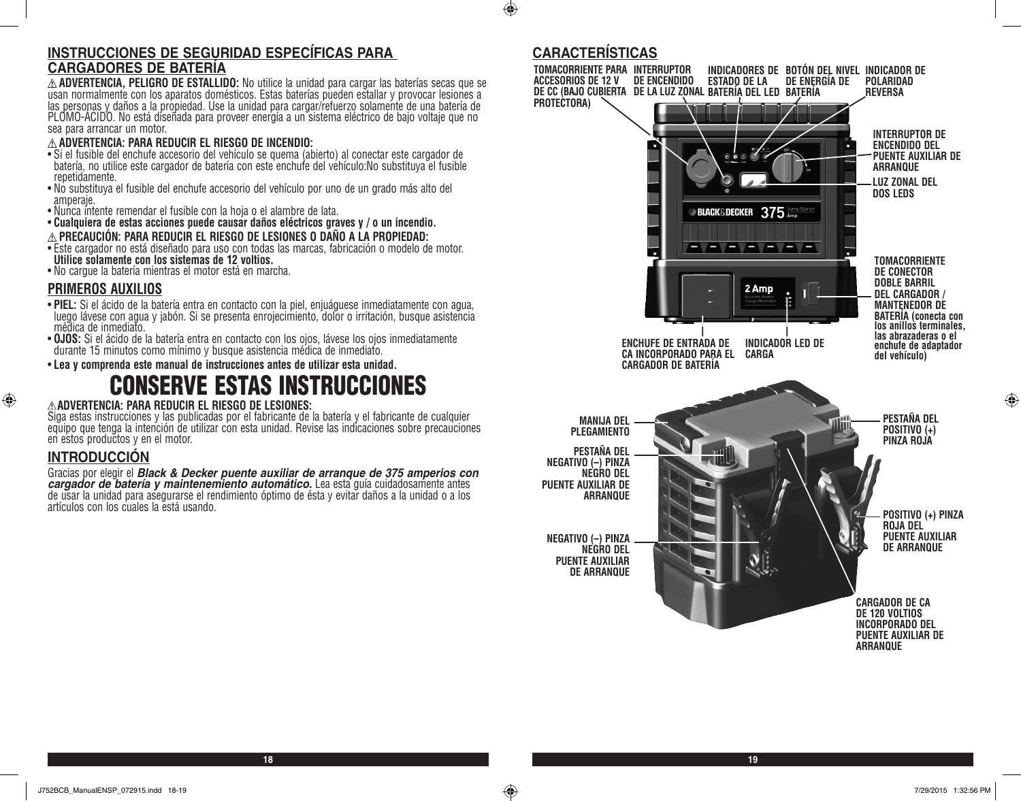# **INSTRUCCIONES DE SEGURIDAD ESPECÍFICAS PARA**

CARGADORES DE BATERÍA<br>  $\triangle$  ADVERTENCIA, PELIGRO DE ESTALLIDO: No utilice la unidad para cargar las baterías secas que se  $\triangle$  **ADVERTENCIA, PELIGRO DE ESTALLIDO:** No utilice la unidad para cargar las baterías secas que se<br>usan normalmente con los aparatos domésticos. Estas baterías pueden estallar y provocar lesiones a las personas y daños a la propiedad. Use la unidad para cargar/refuerzo solamente de una batería de<br>PLOMO-ÁCIDO. No está diseñada para proveer energía a un sistema eléctrico de bajo voltaje que no sea para arrancar un motor.

### **ADVERTENCIA: PARA REDUCIR EL RIESGO DE INCENDIO:**

- Si el fusible del enchufe accesorio del vehículo se quema (abierto) al conectar este cargador de batería, no utilice este cargador de batería con este enchufe del vehículo:No substituya el fusible repetidamente.
- No substituya el fusible del enchufe accesorio del vehículo por uno de un grado más alto del amperaje.
- Nunca intente remendar el fusible con la hoja o el alambre de lata.
- **Cualquiera de estas acciones puede causar daños eléctricos graves y / o un incendio. PRECAUCIÓN: PARA REDUCIR EL RIESGO DE LESIONES O DAÑO A LA PROPIEDAD:** • Este cargador no está diseñado para uso con todas las marcas, fabricación o modelo de motor. **Utilice solamente con los sistemas de 12 voltios.**
- No cargue la batería mientras el motor está en marcha.

### **PRIMEROS AUXILIOS**

- **PIEL:** Si el ácido de la batería entra en contacto con la piel, enjuáguese inmediatamente con agua, luego lávese con agua y jabón. Si se presenta enrojecimiento, dolor o irritación, busque asistencia médica de inmediato.
- **OJOS:** Si el ácido de la batería entra en contacto con los ojos, lávese los ojos inmediatamente durante 15 minutos como mínimo y busque asistencia médica de inmediato.
- **Lea y comprenda este manual de instrucciones antes de utilizar esta unidad.**

# **NSERVE ESTAS INSTRUCCIONES**

### **ADVERTENCIA: PARA REDUCIR EL RIESGO DE LESIONES:**

Siga estas instrucciones y las publicadas por el fabricante de la batería y el fabricante de cualquier equipo que tenga la intención de utilizar con esta unidad. Revise las indicaciones sobre precauciones en estos productos y en el motor.

### **INTRODUCCIÓN**

⊕

Gracias por elegir el **Black & Decker puente auxiliar de arranque de 375 amperios con cargador de batería y maintenemiento automático.** Lea esta guía cuidadosamente antes de usar la unidad para asegurarse el rendimiento óp artículos con los cuales la está usando.

# **CARACTERÍSTICAS**

 $\bigoplus$ 



⊕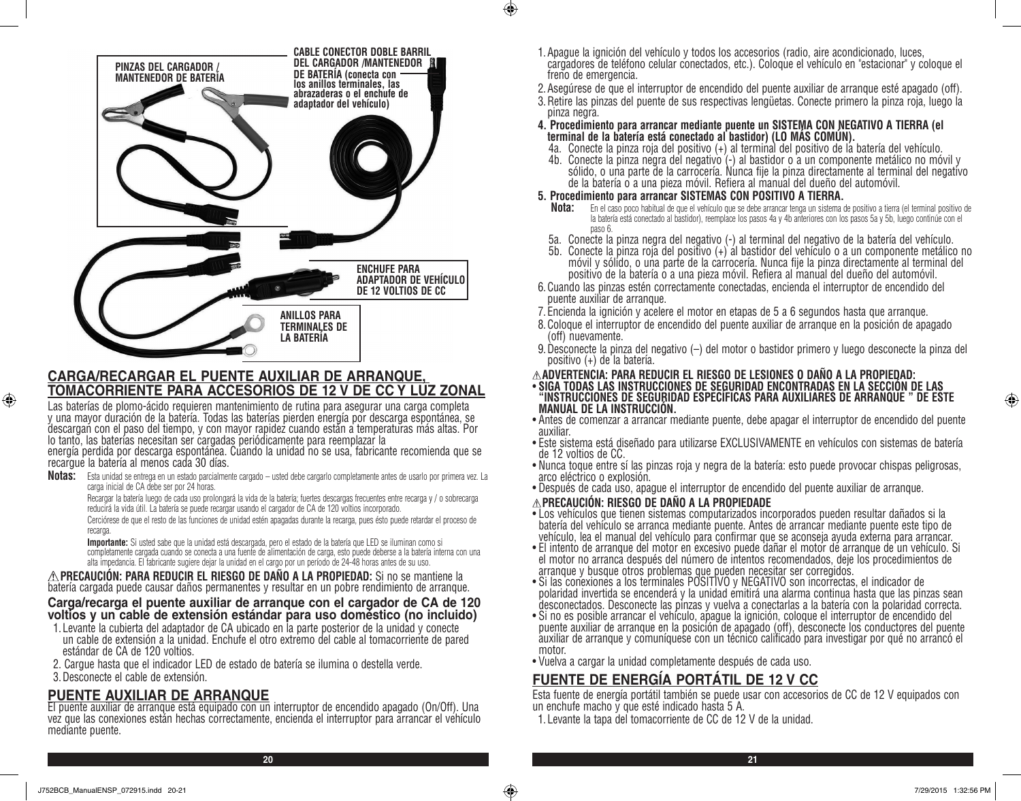

### **CARGA/RECARGAR EL PUENTE AUXILIAR DE ARRANQUE, TOMACORRIENTE PARA ACCESORIOS DE 12 V DE CC Y LUZ ZONAL**

Las baterías de plomo-ácido requieren mantenimiento de rutina para asegurar una carga completa y una mayor duración de la batería. Todas las baterías pierden energía por descarga espontánea, se descargan con el paso del tiempo, y con mayor rapidez cuando están a temperaturas más altas. Por lo tanto, las baterías necesitan ser cargadas periódicamente para reemplazar la

energía perdida por descarga espontánea. Cuando la unidad no se usa, fabricante recomienda que se recargue la batería al menos cada 30 días.

**Notas:** Esta unidad se entrega en un estado parcialmente cargado – usted debe cargarlo completamente antes de usarlo por primera vez. La carga inicial de CA debe ser por 24 horas.

Recargar la batería luego de cada uso prolongará la vida de la batería; fuertes descargas frecuentes entre recarga y / o sobrecarga reducirá la vida útil. La batería se puede recargar usando el cargador de CA de 120 voltios incorporado.

Cerciórese de que el resto de las funciones de unidad estén apagadas durante la recarga, pues ésto puede retardar el proceso de recarga.

**Importante:** Si usted sabe que la unidad está descargada, pero el estado de la batería que LED se iluminan como si completamente cargada cuando se conecta a una fuente de alimentación de carga, esto puede deberse a la batería interna con una alta impedancia. El fabricante sugiere dejar la unidad en el cargo por un período de 24-48 horas antes de su uso.

**A PRECAUCION: PARA REDUCIR EL RIESGO DE DANO A LA PROPIEDAD:** Si no se mantiene la batería cargada puede causar daños permanentes y resultar en un pobre rendimiento de arranque.

### **Carga/recarga el puente auxiliar de arranque con el cargador de CA de 120 voltios y un cable de extensión estándar para uso doméstico (no incluido)**

- 1. Levante la cubierta del adaptador de CA ubicado en la parte posterior de la unidad y conecte un cable de extensión a la unidad. Enchufe el otro extremo del cable al tomacorriente de pared estándar de CA de 120 voltios.
- 2. Cargue hasta que el indicador LED de estado de batería se ilumina o destella verde.

### 3.Desconecte el cable de extensión.

⊕

# **PUENTE AUXILIAR DE ARRANQUE**

El puente auxiliar de arranque está equipado con un interruptor de encendido apagado (On/Off). Una vez que las conexiones están hechas correctamente, encienda el interruptor para arrancar el vehículo mediante puente.

- 1.Apague la ignición del vehículo y todos los accesorios (radio, aire acondicionado, luces, cargadores de teléfono celular conectados, etc.). Coloque el vehículo en "estacionar" y coloque el freno de emergencia.
- 2.Asegúrese de que el interruptor de encendido del puente auxiliar de arranque esté apagado (off).
- 3.Retire las pinzas del puente de sus respectivas lengüetas. Conecte primero la pinza roja, luego la pinza negra.
- **4. Procedimiento para arrancar mediante puente un SISTEMA CON NEGATIVO A TIERRA (el terminal de la batería está conectado al bastidor) (LO MÁS COMÚN).**
	- 4a. Conecte la pinza roja del positivo (+) al terminal del positivo de la batería del vehículo.
	- 4b. Conecte la pinza negra del negativo (-) al bastidor o a un componente metálico no móvil y sólido, o una parte de la carrocería. Nunca fije la pinza directamente al terminal del negativo de la batería o a una pieza móvil. Refiera al manual del dueño del automóvil.

### **5. Procedimiento para arrancar SISTEMAS CON POSITIVO A TIERRA.**

- **Nota:** En el caso poco habitual de que el vehículo que se debe arrancar tenga un sistema de positivo a tierra (el terminal positivo de la batería está conectado al bastidor), reemplace los pasos 4a y 4b anteriores con los pasos 5a y 5b, luego continúe con el paso 6.
- 5a. Conecte la pinza negra del negativo (-) al terminal del negativo de la batería del vehículo.
- 5b. Conecte la pinza roja del positivo (+) al bastidor del vehículo o a un componente metálico no móvil y sólido, o una parte de la carrocería. Nunca fije la pinza directamente al terminal del positivo de la batería o a una pieza móvil. Refiera al manual del dueño del automóvil.
- 6.Cuando las pinzas estén correctamente conectadas, encienda el interruptor de encendido del puente auxiliar de arranque.
- 7. Encienda la ignición y acelere el motor en etapas de 5 a 6 segundos hasta que arranque.
- 8.Coloque el interruptor de encendido del puente auxiliar de arranque en la posición de apagado (off) nuevamente.
- 9.Desconecte la pinza del negativo (–) del motor o bastidor primero y luego desconecte la pinza del positivo (+) de la batería.
- **ADVERTENCIA: PARA REDUCIR EL RIESGO DE LESIONES O DAÑO A LA PROPIEDAD:**
- **SIGA TODAS LAS INSTRUCCIONES DE SEGURIDAD ENCONTRADAS EN LA SECCIÓN DE LAS "INSTRUCCIONES DE SEGURIDAD ESPECÍFICAS PARA AUXILIARES DE ARRANQUE " DE ESTE MANUAL DE LA INSTRUCCIÓN.**
- Antes de comenzar a arrancar mediante puente, debe apagar el interruptor de encendido del puente auxiliar.
- Este sistema está diseñado para utilizarse EXCLUSIVAMENTE en vehículos con sistemas de batería de 12 voltios de CC.
- Nunca toque entre sí las pinzas roja y negra de la batería: esto puede provocar chispas peligrosas, arco eléctrico o explosión.
- Después de cada uso, apague el interruptor de encendido del puente auxiliar de arranque.

### **PRECAUCIÓN: RIESGO DE DAÑO A LA PROPIEDADE**

- Los vehículos que tienen sistemas computarizados incorporados pueden resultar dañados si la batería del vehículo se arranca mediante puente. Antes de arrancar mediante puente este tipo de vehículo, lea el manual del vehículo para confirmar que se aconseja ayuda externa para arrancar.
- El intento de arranque del motor en excesivo puede dañar el motor de arranque de un vehículo. Si el motor no arranca después del número de intentos recomendados, deje los procedimientos de
- arranque y busque otros problemas que pueden necesitar ser corregidos.
- Si las conexiones a los terminales POSITIVO y NEGATIVO son incorrectas, el indicador de polaridad invertida se encenderá y la unidad emitirá una alarma continua hasta que las pinzas sean desconectados. Desconecte las pinzas y vuelva a conectarlas a la batería con la polaridad correcta.
- Si no es posible arrancar el vehículo, apague la ignición, coloque el interruptor de encendido del puente auxiliar de arranque en la posición de apagado (off), desconecte los conductores del puente auxiliar de arranque y comuníquese con un técnico calificado para investigar por qué no arrancó el motor.
- Vuelva a cargar la unidad completamente después de cada uso.

# **FUENTE DE ENERGÍA PORTÁTIL DE 12 V CC**

Esta fuente de energía portátil también se puede usar con accesorios de CC de 12 V equipados con un enchufe macho y que esté indicado hasta 5 A.

1. Levante la tapa del tomacorriente de CC de 12 V de la unidad.

**20 21**

 $\bigoplus$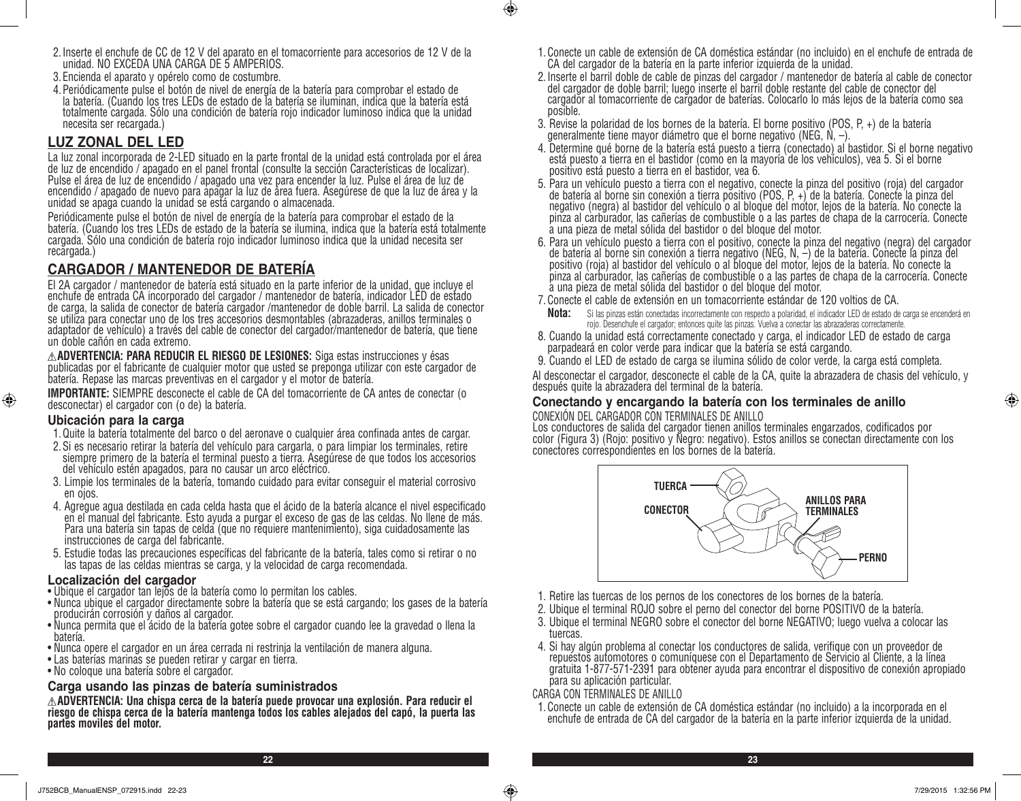- 2.Inserte el enchufe de CC de 12 V del aparato en el tomacorriente para accesorios de 12 V de la unidad. NO EXCEDA UNA CARGA DE 5 AMPERIOS.
- 3. Encienda el aparato y opérelo como de costumbre.
- 4.Periódicamente pulse el botón de nivel de energía de la batería para comprobar el estado de la batería. (Cuando los tres LEDs de estado de la batería se iluminan, indica que la batería está totalmente cargada. Sólo una condición de batería rojo indicador luminoso indica que la unidad necesita ser recargada.)

### **LUZ ZONAL DEL LED**

La luz zonal incorporada de 2-LED situado en la parte frontal de la unidad está controlada por el área de luz de encendido / apagado en el panel frontal (consulte la sección Características de localizar). Pulse el área de luz de encendido / apagado una vez para encender la luz. Pulse el área de luz de encendido / apagado de nuevo para apagar la luz de área fuera. Asegúrese de que la luz de área y la unidad se apaga cuando la unidad se está cargando o almacenada.

Periódicamente pulse el botón de nivel de energía de la batería para comprobar el estado de la batería. (Cuando los tres LEDs de estado de la batería se ilumina, indica que la batería está totalmente cargada. Sólo una condición de batería rojo indicador luminoso indica que la unidad necesita ser recargada.)

### **CARGADOR / MANTENEDOR DE BATERÍA**

El 2A cargador / mantenedor de batería está situado en la parte inferior de la unidad, que incluye el enchufe de entrada CA incorporado del cargador / mantenedor de batería, indicador LED de estado de carga, la salida de conector de batería cargador /mantenedor de doble barril. La salida de conector se utiliza para conectar uno de los tres accesorios desmontables (abrazaderas, anillos terminales o adaptador de vehículo) a través del cable de conector del cargador/mantenedor de batería, que tiene un doble cañón en cada extremo.

**ADVERTENCIA: PARA REDUCIR EL RIESGO DE LESIONES:** Siga estas instrucciones y ésas publicadas por el fabricante de cualquier motor que usted se preponga utilizar con este cargador de batería. Repase las marcas preventivas en el cargador y el motor de batería.

**IMPORTANTE:** SIEMPRE desconecte el cable de CA del tomacorriente de CA antes de conectar (o desconectar) el cargador con (o de) la batería.

### **Ubicación para la carga**

⊕

- 1. Quite la batería totalmente del barco o del aeronave o cualquier área confinada antes de cargar.
- 2.Si es necesario retirar la batería del vehículo para cargarla, o para limpiar los terminales, retire siempre primero de la batería el terminal puesto a tierra. Asegúrese de que todos los accesorios del vehículo estén apagados, para no causar un arco eléctrico.
- 3. Limpie los terminales de la batería, tomando cuidado para evitar conseguir el material corrosivo en ojos.
- 4. Agregue agua destilada en cada celda hasta que el ácido de la batería alcance el nivel especificado en el manual del fabricante. Esto ayuda a purgar el exceso de gas de las celdas. No llene de más. Para una batería sin tapas de celda (que no requiere mantenimiento), siga cuidadosamente las instrucciones de carga del fabricante.
- 5. Estudie todas las precauciones específicas del fabricante de la batería, tales como si retirar o no las tapas de las celdas mientras se carga, y la velocidad de carga recomendada.

### **Localización del cargador**

- Ubique el cargador tan lejos de la batería como lo permitan los cables.
- Nunca ubique el cargador directamente sobre la batería que se está cargando; los gases de la batería producirán corrosión y daños al cargador.
- Nunca permita que el ácido de la batería gotee sobre el cargador cuando lee la gravedad o llena la batería.
- Nunca opere el cargador en un área cerrada ni restrinja la ventilación de manera alguna.
- Las baterías marinas se pueden retirar y cargar en tierra.
- No coloque una batería sobre el cargador.

### **Carga usando las pinzas de batería suministrados**

**ADVERTENCIA: Una chispa cerca de la batería puede provocar una explosión. Para reducir el riesgo de chispa cerca de la batería mantenga todos los cables alejados del capó, la puerta las partes moviles del motor.**

- 1.Conecte un cable de extensión de CA doméstica estándar (no incluido) en el enchufe de entrada de CA del cargador de la batería en la parte inferior izquierda de la unidad.
- 2.Inserte el barril doble de cable de pinzas del cargador / mantenedor de batería al cable de conector del cargador de doble barril; luego inserte el barril doble restante del cable de conector del cargador al tomacorriente de cargador de baterías. Colocarlo lo más lejos de la batería como sea posible.
- 3. Revise la polaridad de los bornes de la batería. El borne positivo (POS, P, +) de la batería generalmente tiene mayor diámetro que el borne negativo (NEG, N, –).
- 4. Determine qué borne de la batería está puesto a tierra (conectado) al bastidor. Si el borne negativo está puesto a tierra en el bastidor (como en la mayoría de los vehículos), vea 5. Si el borne positivo está puesto a tierra en el bastidor, vea 6.
- 5. Para un vehículo puesto a tierra con el negativo, conecte la pinza del positivo (roja) del cargador de batería al borne sin conexión a tierra positivo (POS, P, +) de la batería. Conecte la pinza del negativo (negra) al bastidor del vehículo o al bloque del motor, lejos de la batería. No conecte la pinza al carburador, las cañerías de combustible o a las partes de chapa de la carrocería. Conecte a una pieza de metal sólida del bastidor o del bloque del motor.
- 6. Para un vehículo puesto a tierra con el positivo, conecte la pinza del negativo (negra) del cargador de batería al borne sin conexión a tierra negativo (NEG, N, –) de la batería. Conecte la pinza del positivo (roja) al bastidor del vehículo o al bloque del motor, lejos de la batería. No conecte la pinza al carburador, las cañerías de combustible o a las partes de chapa de la carrocería. Conecte a una pieza de metal sólida del bastidor o del bloque del motor.
- 7.Conecte el cable de extensión en un tomacorriente estándar de 120 voltios de CA.
- **Nota:** Si las pinzas están conectadas incorrectamente con respecto a polaridad, el indicador LED de estado de carga se encenderá en rojo. Desenchufe el cargador; entonces quite las pinzas. Vuelva a conectar las abrazaderas correctamente.
- 8. Cuando la unidad está correctamente conectado y carga, el indicador LED de estado de carga parpadeará en color verde para indicar que la batería se está cargando.
- 9. Cuando el LED de estado de carga se ilumina sólido de color verde, la carga está completa.

Al desconectar el cargador, desconecte el cable de la CA, quite la abrazadera de chasis del vehículo, y después quite la abrazadera del terminal de la batería.

### **Conectando y encargando la batería con los terminales de anillo**  CONEXIÓN DEL CARGADOR CON TERMINALES DE ANILLO

Los conductores de salida del cargador tienen anillos terminales engarzados, codificados por color (Figura 3) (Rojo: positivo y Negro: negativo). Estos anillos se conectan directamente con los conectores correspondientes en los bornes de la batería.



- 1. Retire las tuercas de los pernos de los conectores de los bornes de la batería.
- 2. Ubique el terminal ROJO sobre el perno del conector del borne POSITIVO de la batería.
- 3. Ubique el terminal NEGRO sobre el conector del borne NEGATIVO; luego vuelva a colocar las tuercas.
- 4. Si hay algún problema al conectar los conductores de salida, verifique con un proveedor de repuestos automotores o comuníquese con el Departamento de Servicio al Cliente, a la línea gratuita 1-877-571-2391 para obtener ayuda para encontrar el dispositivo de conexión apropiado para su aplicación particular.

### CARGA CON TERMINALES DE ANILLO

1.Conecte un cable de extensión de CA doméstica estándar (no incluido) a la incorporada en el enchufe de entrada de CA del cargador de la batería en la parte inferior izquierda de la unidad.

**22 23**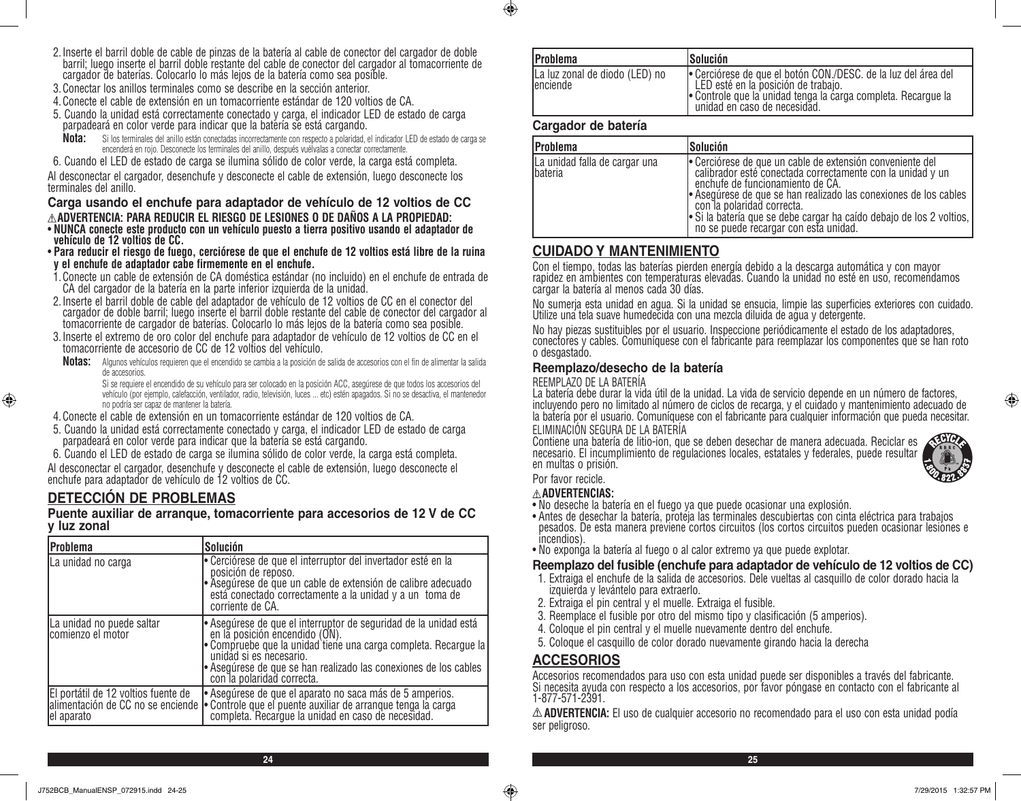- 2.Inserte el barril doble de cable de pinzas de la batería al cable de conector del cargador de doble barril; luego inserte el barril doble restante del cable de conector del cargador al tomacorriente de cargador de baterías. Colocarlo lo más lejos de la batería como sea posible.
- 3.Conectar los anillos terminales como se describe en la sección anterior.
- 4.Conecte el cable de extensión en un tomacorriente estándar de 120 voltios de CA.
- 5. Cuando la unidad está correctamente conectado y carga, el indicador LED de estado de carga parpadeará en color verde para indicar que la batería se está cargando.
- **Nota:** Si los terminales del anillo están conectadas incorrectamente con respecto a polaridad, el indicador LED de estado de carga se encenderá en rojo. Desconecte los terminales del anillo, después vuélvalas a conectar correctamente.
- 6. Cuando el LED de estado de carga se ilumina sólido de color verde, la carga está completa.

Al desconectar el cargador, desenchufe y desconecte el cable de extensión, luego desconecte los terminales del anillo.

### **Carga usando el enchufe para adaptador de vehículo de 12 voltios de CC ADVERTENCIA: PARA REDUCIR EL RIESGO DE LESIONES O DE DAÑOS A LA PROPIEDAD:**

- **NUNCA conecte este producto con un vehículo puesto a tierra positivo usando el adaptador de vehículo de 12 voltios de CC.**
- **Para reducir el riesgo de fuego, cerciórese de que el enchufe de 12 voltios está libre de la ruina y el enchufe de adaptador cabe firmemente en el enchufe.**
- 1.Conecte un cable de extensión de CA doméstica estándar (no incluido) en el enchufe de entrada de CA del cargador de la batería en la parte inferior izquierda de la unidad.
- 2.Inserte el barril doble de cable del adaptador de vehículo de 12 voltios de CC en el conector del cargador de doble barril; luego inserte el barril doble restante del cable de conector del cargador al tomacorriente de cargador de baterías. Colocarlo lo más lejos de la batería como sea posible.
- 3.Inserte el extremo de oro color del enchufe para adaptador de vehículo de 12 voltios de CC en el tomacorriente de accesorio de CC de 12 voltios del vehículo.
- **Notas:** Algunos vehículos requieren que el encendido se cambia a la posición de salida de accesorios con el fin de alimentar la salida de accesorios.

Si se requiere el encendido de su vehículo para ser colocado en la posición ACC, asegúrese de que todos los accesorios del vehículo (por ejemplo, calefacción, ventilador, radio, televisión, luces ... etc) estén apagados. Si no se desactiva, el mantenedor no podría ser capaz de mantener la batería.

- 4.Conecte el cable de extensión en un tomacorriente estándar de 120 voltios de CA.
- 5. Cuando la unidad está correctamente conectado y carga, el indicador LED de estado de carga parpadeará en color verde para indicar que la batería se está cargando.
- 6. Cuando el LED de estado de carga se ilumina sólido de color verde, la carga está completa.

Al desconectar el cargador, desenchufe y desconecte el cable de extensión, luego desconecte el enchufe para adaptador de vehículo de 12 voltios de CC.

### **DETECCIÓN DE PROBLEMAS**

⊕

### **Puente auxiliar de arranque, tomacorriente para accesorios de 12 V de CC y luz zonal**

| Problema                                                                               | Solución                                                                                                                                                                                                                                                                                         |
|----------------------------------------------------------------------------------------|--------------------------------------------------------------------------------------------------------------------------------------------------------------------------------------------------------------------------------------------------------------------------------------------------|
| La unidad no carga                                                                     | • Cerciórese de que el interruptor del invertador esté en la<br>posición de reposo.<br>• Asegúrese de que un cable de extensión de calibre adecuado<br>  está conectado correctamente a la unidad y a un toma de<br>corriente de CA.                                                             |
| La unidad no puede saltar<br>comienzo el motor                                         | - Asegúrese de que el interruptor de seguridad de la unidad está<br>en la posición encendido (ON).<br>Compruebe que la unidad tiene una carga completa. Recargue la<br>unidad si es necesario.<br>• Asegúrese de que se han realizado las conexiones de los cables<br>con la polaridad correcta. |
| El portátil de 12 voltios fuente de<br>alimentación de CC no se enciende<br>el aparato | • Asegúrese de que el aparato no saca más de 5 amperios.<br>• Controle que el puente auxiliar de arranque tenga la carga<br>• completa. Recargue la unidad en caso de necesidad.                                                                                                                 |

| lProblema                                   | <b>Solución</b>                                                                                                                                                                                        |
|---------------------------------------------|--------------------------------------------------------------------------------------------------------------------------------------------------------------------------------------------------------|
| La luz zonal de diodo (LED) no<br>lenciende | e Cerciórese de que el botón CON./DESC. de la luz del área del<br>LED esté en la posición de trabajo.<br>• Controle que la unidad tenga la carga completa. Recargue la<br>unidad en caso de necesidad. |

### **Cargador de batería**

 $\bigoplus$ 

| <b>Problema</b>                           | Solución                                                                                                                                                                                                                                                                                                                                                                   |
|-------------------------------------------|----------------------------------------------------------------------------------------------------------------------------------------------------------------------------------------------------------------------------------------------------------------------------------------------------------------------------------------------------------------------------|
| La unidad falla de cargar una<br>Ibateria | • Cerciórese de que un cable de extensión conveniente del<br>calibrador esté conectada correctamente con la unidad y un<br>enchufe de funcionamiento de CA.<br>Asegúrese de que se han realizado las conexiones de los cables<br>con la polaridad correcta.<br>Si la batería que se debe cargar ha caído debajo de los 2 voltios,<br>no se puede recargar con esta unidad. |

### **CUIDADO Y MANTENIMIENTO**

Con el tiempo, todas las baterías pierden energía debido a la descarga automática y con mayor rapidez en ambientes con temperaturas elevadas. Cuando la unidad no esté en uso, recomendamos cargar la batería al menos cada 30 días.

No sumerja esta unidad en agua. Si la unidad se ensucia, limpie las superficies exteriores con cuidado. Utilize una tela suave humedecida con una mezcla diluida de agua y detergente.

No hay piezas sustituibles por el usuario. Inspeccione periódicamente el estado de los adaptadores, conectores y cables. Comuníquese con el fabricante para reemplazar los componentes que se han roto o desgastado.

### **Reemplazo/desecho de la batería**

### REEMPLAZO DE LA BATERÍA

La batería debe durar la vida útil de la unidad. La vida de servicio depende en un número de factores, incluyendo pero no limitado al número de ciclos de recarga, y el cuidado y mantenimiento adecuado de la batería por el usuario. Comuníquese con el fabricante para cualquier información que pueda necesitar. ELIMINACIÓN SEGURA DE LA BATERÍA

Contiene una batería de litio-ion, que se deben desechar de manera adecuada. Reciclar es necesario. El incumplimiento de regulaciones locales, estatales y federales, puede resultar en multas o prisión.

Por favor recicle.

### **ADVERTENCIAS:**

- No deseche la batería en el fuego ya que puede ocasionar una explosión.
- Antes de desechar la batería, proteja las terminales descubiertas con cinta eléctrica para trabajos pesados. De esta manera previene cortos circuitos (los cortos circuitos pueden ocasionar lesiones e incendios).
- No exponga la batería al fuego o al calor extremo ya que puede explotar.

### **Reemplazo del fusible (enchufe para adaptador de vehículo de 12 voltios de CC)**

- 1. Extraiga el enchufe de la salida de accesorios. Dele vueltas al casquillo de color dorado hacia la izquierda y levántelo para extraerlo.
- 2. Extraiga el pin central y el muelle. Extraiga el fusible.
- 3. Reemplace el fusible por otro del mismo tipo y clasificación (5 amperios).
- 4. Coloque el pin central y el muelle nuevamente dentro del enchufe.
- 5. Coloque el casquillo de color dorado nuevamente girando hacia la derecha

### **ACCESORIOS**

Accesorios recomendados para uso con esta unidad puede ser disponibles a través del fabricante. Si necesita ayuda con respecto a los accesorios, por favor póngase en contacto con el fabricante al 1-877-571-2391.

**ADVERTENCIA:** El uso de cualquier accesorio no recomendado para el uso con esta unidad podía ser peligroso.



⊕